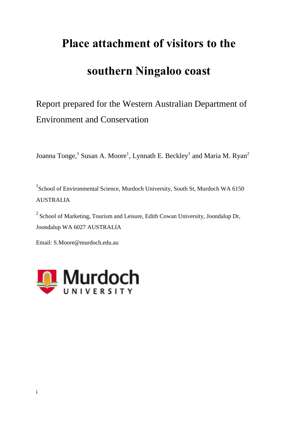# **Place attachment of visitors to the**

## **southern Ningaloo coast**

## Report prepared for the Western Australian Department of Environment and Conservation

Joanna Tonge,<sup>1</sup> Susan A. Moore<sup>1</sup>, Lynnath E. Beckley<sup>1</sup> and Maria M. Ryan<sup>2</sup>

<sup>1</sup>School of Environmental Science, Murdoch University, South St, Murdoch WA 6150 AUSTRALIA

 $2$  School of Marketing, Tourism and Leisure, Edith Cowan University, Joondalup Dr, Joondalup WA 6027 AUSTRALIA

Email: S.Moore@murdoch.edu.au

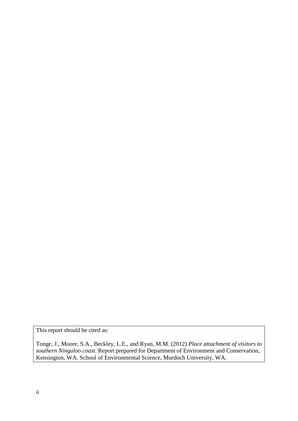This report should be cited as:

Tonge, J., Moore, S.A., Beckley, L.E., and Ryan, M.M. (2012) *Place attachment of visitors to southern Ningaloo coast*. Report prepared for Department of Environment and Conservation, Kensington, WA. School of Environmental Science, Murdoch University, WA.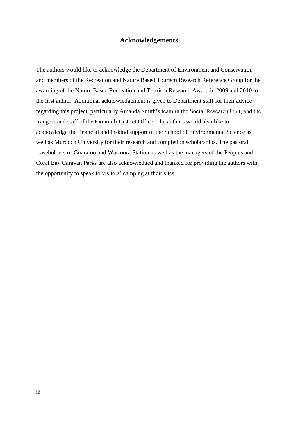## **Acknowledgements**

The authors would like to acknowledge the Department of Environment and Conservation and members of the Recreation and Nature Based Tourism Research Reference Group for the awarding of the Nature Based Recreation and Tourism Research Award in 2009 and 2010 to the first author. Additional acknowledgement is given to Department staff for their advice regarding this project, particularly Amanda Smith's team in the Social Research Unit, and the Rangers and staff of the Exmouth District Office. The authors would also like to acknowledge the financial and in-kind support of the School of Environmental Science as well as Murdoch University for their research and completion scholarships. The pastoral leaseholders of Gnaraloo and Warroora Station as well as the managers of the Peoples and Coral Bay Caravan Parks are also acknowledged and thanked for providing the authors with the opportunity to speak to visitors' camping at their sites.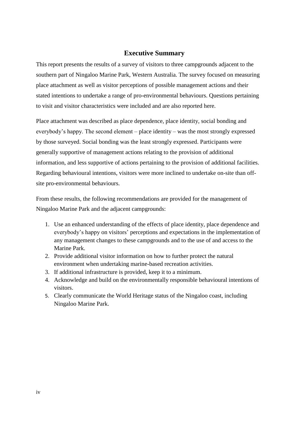## **Executive Summary**

This report presents the results of a survey of visitors to three campgrounds adjacent to the southern part of Ningaloo Marine Park, Western Australia. The survey focused on measuring place attachment as well as visitor perceptions of possible management actions and their stated intentions to undertake a range of pro-environmental behaviours. Questions pertaining to visit and visitor characteristics were included and are also reported here.

Place attachment was described as place dependence, place identity, social bonding and everybody's happy. The second element – place identity – was the most strongly expressed by those surveyed. Social bonding was the least strongly expressed. Participants were generally supportive of management actions relating to the provision of additional information, and less supportive of actions pertaining to the provision of additional facilities. Regarding behavioural intentions, visitors were more inclined to undertake on-site than offsite pro-environmental behaviours.

From these results, the following recommendations are provided for the management of Ningaloo Marine Park and the adjacent campgrounds:

- 1. Use an enhanced understanding of the effects of place identity, place dependence and everybody's happy on visitors' perceptions and expectations in the implementation of any management changes to these campgrounds and to the use of and access to the Marine Park.
- 2. Provide additional visitor information on how to further protect the natural environment when undertaking marine-based recreation activities.
- 3. If additional infrastructure is provided, keep it to a minimum.
- 4. Acknowledge and build on the environmentally responsible behavioural intentions of visitors.
- 5. Clearly communicate the World Heritage status of the Ningaloo coast, including Ningaloo Marine Park.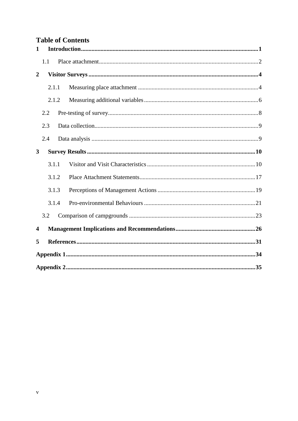## **Table of Contents**

| $\mathbf 1$             |     |       |  |
|-------------------------|-----|-------|--|
|                         | 1.1 |       |  |
| $\boldsymbol{2}$        |     |       |  |
|                         |     | 2.1.1 |  |
|                         |     | 2.1.2 |  |
|                         | 2.2 |       |  |
|                         | 2.3 |       |  |
|                         | 2.4 |       |  |
| 3                       |     |       |  |
|                         |     | 3.1.1 |  |
|                         |     | 3.1.2 |  |
|                         |     | 3.1.3 |  |
|                         |     | 3.1.4 |  |
|                         | 3.2 |       |  |
| $\overline{\mathbf{4}}$ |     |       |  |
| 5                       |     |       |  |
|                         |     |       |  |
|                         |     |       |  |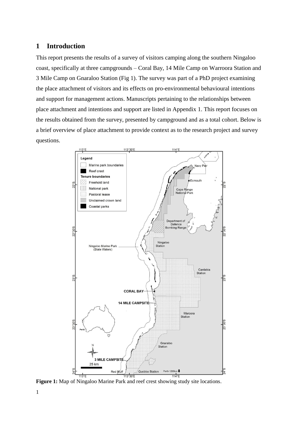## <span id="page-5-0"></span>**1 Introduction**

This report presents the results of a survey of visitors camping along the southern Ningaloo coast, specifically at three campgrounds – Coral Bay, 14 Mile Camp on Warroora Station and 3 Mile Camp on Gnaraloo Station (Fig 1). The survey was part of a PhD project examining the place attachment of visitors and its effects on pro-environmental behavioural intentions and support for management actions. Manuscripts pertaining to the relationships between place attachment and intentions and support are listed in Appendix 1. This report focuses on the results obtained from the survey, presented by campground and as a total cohort. Below is a brief overview of place attachment to provide context as to the research project and survey questions.



**Figure 1:** Map of Ningaloo Marine Park and reef crest showing study site locations.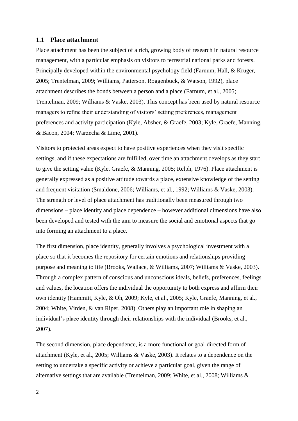## <span id="page-6-0"></span>**1.1 Place attachment**

Place attachment has been the subject of a rich, growing body of research in natural resource management, with a particular emphasis on visitors to terrestrial national parks and forests. Principally developed within the environmental psychology field [\(Farnum, Hall, & Kruger,](#page-35-1)  [2005;](#page-35-1) [Trentelman, 2009;](#page-37-1) [Williams, Patterson, Roggenbuck, & Watson, 1992\)](#page-37-2), place attachment describes the bonds between a person and a place [\(Farnum, et al., 2005;](#page-35-1) [Trentelman, 2009;](#page-37-1) [Williams & Vaske, 2003\)](#page-37-3). This concept has been used by natural resource managers to refine their understanding of visitors' setting preferences, management preferences and activity participation [\(Kyle, Absher, & Graefe, 2003;](#page-36-0) [Kyle, Graefe, Manning,](#page-36-1)  [& Bacon, 2004;](#page-36-1) [Warzecha & Lime, 2001\)](#page-37-4).

Visitors to protected areas expect to have positive experiences when they visit specific settings, and if these expectations are fulfilled, over time an attachment develops as they start to give the setting value [\(Kyle, Graefe, & Manning, 2005;](#page-36-2) [Relph, 1976\)](#page-36-3). Place attachment is generally expressed as a positive attitude towards a place, extensive knowledge of the setting and frequent visitation [\(Smaldone, 2006;](#page-37-5) [Williams, et al., 1992;](#page-37-2) [Williams & Vaske, 2003\)](#page-37-3). The strength or level of place attachment has traditionally been measured through two dimensions – place identity and place dependence – however additional dimensions have also been developed and tested with the aim to measure the social and emotional aspects that go into forming an attachment to a place.

The first dimension, place identity, generally involves a psychological investment with a place so that it becomes the repository for certain emotions and relationships providing purpose and meaning to life [\(Brooks, Wallace, & Williams, 2007;](#page-35-2) [Williams & Vaske, 2003\)](#page-37-3). Through a complex pattern of conscious and unconscious ideals, beliefs, preferences, feelings and values, the location offers the individual the opportunity to both express and affirm their own identity [\(Hammitt, Kyle, & Oh, 2009;](#page-35-3) [Kyle, et al., 2005;](#page-36-2) [Kyle, Graefe, Manning, et al.,](#page-36-1)  [2004;](#page-36-1) [White, Virden, & van Riper, 2008\)](#page-37-6). Others play an important role in shaping an individual's place identity through their relationships with the individual [\(Brooks, et al.,](#page-35-2)  [2007\)](#page-35-2).

The second dimension, place dependence, is a more functional or goal-directed form of attachment [\(Kyle, et al., 2005;](#page-36-2) [Williams & Vaske, 2003\)](#page-37-3). It relates to a dependence on the setting to undertake a specific activity or achieve a particular goal, given the range of alternative settings that are available [\(Trentelman, 2009;](#page-37-1) [White, et al., 2008;](#page-37-6) [Williams &](#page-37-3)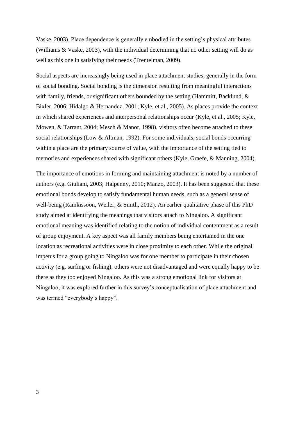[Vaske, 2003\)](#page-37-3). Place dependence is generally embodied in the setting's physical attributes [\(Williams & Vaske, 2003\)](#page-37-3), with the individual determining that no other setting will do as well as this one in satisfying their needs [\(Trentelman, 2009\)](#page-37-1).

Social aspects are increasingly being used in place attachment studies, generally in the form of social bonding. Social bonding is the dimension resulting from meaningful interactions with family, friends, or significant others bounded by the setting [\(Hammitt, Backlund, &](#page-35-4)  [Bixler, 2006;](#page-35-4) [Hidalgo & Hernandez, 2001;](#page-35-5) [Kyle, et al., 2005\)](#page-36-2). As places provide the context in which shared experiences and interpersonal relationships occur [\(Kyle, et al., 2005;](#page-36-2) [Kyle,](#page-36-4)  [Mowen, & Tarrant, 2004;](#page-36-4) [Mesch & Manor, 1998\)](#page-36-5), visitors often become attached to these social relationships [\(Low & Altman, 1992\)](#page-36-6). For some individuals, social bonds occurring within a place are the primary source of value, with the importance of the setting tied to memories and experiences shared with significant others [\(Kyle, Graefe, & Manning, 2004\)](#page-36-7).

The importance of emotions in forming and maintaining attachment is noted by a number of authors [\(e.g. Giuliani, 2003;](#page-35-6) [Halpenny, 2010;](#page-35-7) [Manzo, 2003\)](#page-36-8). It has been suggested that these emotional bonds develop to satisfy fundamental human needs, such as a general sense of well-being [\(Ramkissoon, Weiler, & Smith, 2012\)](#page-36-9). An earlier qualitative phase of this PhD study aimed at identifying the meanings that visitors attach to Ningaloo. A significant emotional meaning was identified relating to the notion of individual contentment as a result of group enjoyment. A key aspect was all family members being entertained in the one location as recreational activities were in close proximity to each other. While the original impetus for a group going to Ningaloo was for one member to participate in their chosen activity (e.g. surfing or fishing), others were not disadvantaged and were equally happy to be there as they too enjoyed Ningaloo. As this was a strong emotional link for visitors at Ningaloo, it was explored further in this survey's conceptualisation of place attachment and was termed "everybody's happy".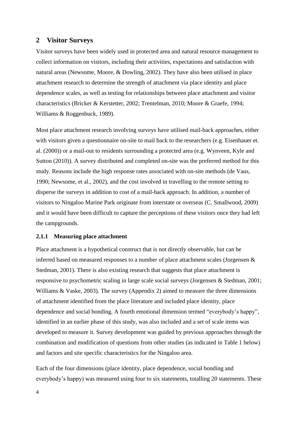#### <span id="page-8-0"></span>**2 Visitor Surveys**

Visitor surveys have been widely used in protected area and natural resource management to collect information on visitors, including their activities, expectations and satisfaction with natural areas [\(Newsome, Moore, & Dowling, 2002\)](#page-36-10). They have also been utilised in place attachment research to determine the strength of attachment via place identity and place dependence scales, as well as testing for relationships between place attachment and visitor characteristics (Bricker & Kerstetter, 2002; Trentelman, 2010; Moore & Graefe, 1994; Williams & Roggenbuck, 1989).

Most place attachment research involving surveys have utilised mail-back approaches, either with visitors given a questionnaire on-site to mail back to the researchers (e.g. Eisenhauer et. al. (2000)) or a mail-out to residents surrounding a protected area (e.g. Wynveen, Kyle and Sutton (2010)). A survey distributed and completed on-site was the preferred method for this study. Reasons include the high response rates associated with on-site methods [\(de Vaus,](#page-35-8)  [1990;](#page-35-8) [Newsome, et al., 2002\)](#page-36-10), and the cost involved in travelling to the remote setting to disperse the surveys in addition to cost of a mail-back approach. In addition, a number of visitors to Ningaloo Marine Park originate from interstate or overseas [\(C. Smallwood, 2009\)](#page-37-7) and it would have been difficult to capture the perceptions of these visitors once they had left the campgrounds.

#### <span id="page-8-1"></span>**2.1.1 Measuring place attachment**

Place attachment is a hypothetical construct that is not directly observable, but can be inferred based on measured responses to a number of place attachment scales [\(Jorgensen &](#page-35-9)  [Stedman, 2001\)](#page-35-9). There is also existing research that suggests that place attachment is responsive to psychometric scaling in large scale social surveys [\(Jorgensen & Stedman, 2001;](#page-35-9) [Williams & Vaske, 2003\)](#page-37-3). The survey (Appendix 2) aimed to measure the three dimensions of attachment identified from the place literature and included place identity, place dependence and social bonding. A fourth emotional dimension termed "everybody's happy", identified in an earlier phase of this study, was also included and a set of scale items was developed to measure it. Survey development was guided by previous approaches through the combination and modification of questions from other studies (as indicated in Table 1 below) and factors and site specific characteristics for the Ningaloo area.

Each of the four dimensions (place identity, place dependence, social bonding and everybody's happy) was measured using four to six statements, totalling 20 statements. These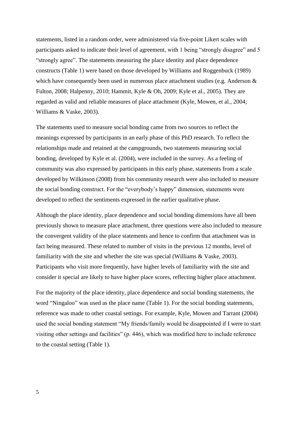statements, listed in a random order, were administered via five-point Likert scales with participants asked to indicate their level of agreement, with 1 being "strongly disagree" and 5 "strongly agree". The statements measuring the place identity and place dependence constructs (Table 1) were based on those developed by Williams and Roggenbuck (1989) which have consequently been used in numerous place attachment studies (e.g. Anderson  $\&$ Fulton, 2008; Halpenny, 2010; Hammit, Kyle & Oh, 2009; Kyle et al., 2005). They are regarded as valid and reliable measures of place attachment [\(Kyle, Mowen, et al., 2004;](#page-36-4) [Williams & Vaske, 2003\)](#page-37-3).

The statements used to measure social bonding came from two sources to reflect the meanings expressed by participants in an early phase of this PhD research. To reflect the relationships made and retained at the campgrounds, two statements measuring social bonding, developed by Kyle et al. (2004), were included in the survey. As a feeling of community was also expressed by participants in this early phase, statements from a scale developed by Wilkinson (2008) from his community research were also included to measure the social bonding construct. For the "everybody's happy" dimension, statements were developed to reflect the sentiments expressed in the earlier qualitative phase.

Although the place identity, place dependence and social bonding dimensions have all been previously shown to measure place attachment, three questions were also included to measure the convergent validity of the place statements and hence to confirm that attachment was in fact being measured. These related to number of visits in the previous 12 months, level of familiarity with the site and whether the site was special [\(Williams & Vaske, 2003\)](#page-37-3). Participants who visit more frequently, have higher levels of familiarity with the site and consider it special are likely to have higher place scores, reflecting higher place attachment.

For the majority of the place identity, place dependence and social bonding statements, the word "Ningaloo" was used as the place name (Table 1). For the social bonding statements, reference was made to other coastal settings. For example, Kyle, Mowen and Tarrant (2004) used the social bonding statement "My friends/family would be disappointed if I were to start visiting other settings and facilities" (p. 446), which was modified here to include reference to the coastal setting (Table 1).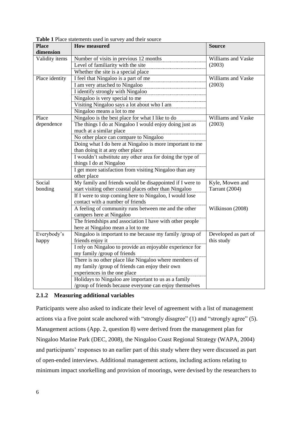| <b>Place</b>   | <b>Table 1</b> Trace statements asca in survey and their source<br><b>How measured</b> | <b>Source</b>        |
|----------------|----------------------------------------------------------------------------------------|----------------------|
| dimension      |                                                                                        |                      |
| Validity items | Number of visits in previous 12 months                                                 | Williams and Vaske   |
|                | Level of familiarity with the site                                                     | (2003)               |
|                | Whether the site is a special place                                                    |                      |
| Place identity | I feel that Ningaloo is a part of me                                                   | Williams and Vaske   |
|                | I am very attached to Ningaloo                                                         | (2003)               |
|                | I identify strongly with Ningaloo                                                      |                      |
|                | Ningaloo is very special to me                                                         |                      |
|                | Visiting Ningaloo says a lot about who I am                                            |                      |
|                | Ningaloo means a lot to me                                                             |                      |
| Place          | Ningaloo is the best place for what I like to do                                       | Williams and Vaske   |
| dependence     | The things I do at Ningaloo I would enjoy doing just as                                | (2003)               |
|                | much at a similar place                                                                |                      |
|                | No other place can compare to Ningaloo                                                 |                      |
|                | Doing what I do here at Ningaloo is more important to me                               |                      |
|                | than doing it at any other place                                                       |                      |
|                | I wouldn't substitute any other area for doing the type of                             |                      |
|                | things I do at Ningaloo                                                                |                      |
|                | I get more satisfaction from visiting Ningaloo than any                                |                      |
|                | other place                                                                            |                      |
| Social         | My family and friends would be disappointed if I were to                               | Kyle, Mowen and      |
| bonding        | start visiting other coastal places other than Ningaloo                                | Tarrant (2004)       |
|                | If I were to stop coming here to Ningaloo, I would lose                                |                      |
|                | contact with a number of friends                                                       |                      |
|                | A feeling of community runs between me and the other                                   | Wilkinson (2008)     |
|                | campers here at Ningaloo                                                               |                      |
|                | The friendships and association I have with other people                               |                      |
|                | here at Ningaloo mean a lot to me                                                      |                      |
| Everybody's    | Ningaloo is important to me because my family /group of                                | Developed as part of |
| happy          | friends enjoy it                                                                       | this study           |
|                | I rely on Ningaloo to provide an enjoyable experience for                              |                      |
|                | my family /group of friends                                                            |                      |
|                | There is no other place like Ningaloo where members of                                 |                      |
|                | my family /group of friends can enjoy their own                                        |                      |
|                | experiences in the one place                                                           |                      |
|                | Holidays to Ningaloo are important to us as a family                                   |                      |
|                | /group of friends because everyone can enjoy themselves                                |                      |

**Table 1** Place statements used in survey and their source

#### <span id="page-10-0"></span>**2.1.2 Measuring additional variables**

Participants were also asked to indicate their level of agreement with a list of management actions via a five point scale anchored with "strongly disagree" (1) and "strongly agree" (5). Management actions (App. 2, question 8) were derived from the management plan for Ningaloo Marine Park (DEC, 2008), the Ningaloo Coast Regional Strategy (WAPA, 2004) and participants' responses to an earlier part of this study where they were discussed as part of open-ended interviews. Additional management actions, including actions relating to minimum impact snorkelling and provision of moorings, were devised by the researchers to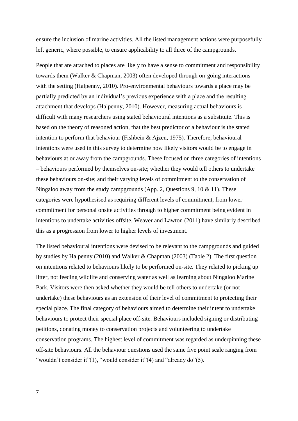ensure the inclusion of marine activities. All the listed management actions were purposefully left generic, where possible, to ensure applicability to all three of the campgrounds.

People that are attached to places are likely to have a sense to commitment and responsibility towards them [\(Walker & Chapman, 2003\)](#page-37-8) often developed through on-going interactions with the setting [\(Halpenny, 2010\)](#page-35-7). Pro-environmental behaviours towards a place may be partially predicted by an individual's previous experience with a place and the resulting attachment that develops [\(Halpenny, 2010\)](#page-35-7). However, measuring actual behaviours is difficult with many researchers using stated behavioural intentions as a substitute. This is based on the theory of reasoned action, that the best predictor of a behaviour is the stated intention to perform that behaviour [\(Fishbein & Ajzen, 1975\)](#page-35-10). Therefore, behavioural intentions were used in this survey to determine how likely visitors would be to engage in behaviours at or away from the campgrounds. These focused on three categories of intentions – behaviours performed by themselves on-site; whether they would tell others to undertake these behaviours on-site; and their varying levels of commitment to the conservation of Ningaloo away from the study campgrounds (App. 2, Questions 9, 10  $\&$  11). These categories were hypothesised as requiring different levels of commitment, from lower commitment for personal onsite activities through to higher commitment being evident in intentions to undertake activities offsite. Weaver and Lawton [\(2011\)](#page-37-9) have similarly described this as a progression from lower to higher levels of investment.

The listed behavioural intentions were devised to be relevant to the campgrounds and guided by studies by Halpenny (2010) and Walker & Chapman (2003) (Table 2). The first question on intentions related to behaviours likely to be performed on-site. They related to picking up litter, not feeding wildlife and conserving water as well as learning about Ningaloo Marine Park. Visitors were then asked whether they would be tell others to undertake (or not undertake) these behaviours as an extension of their level of commitment to protecting their special place. The final category of behaviours aimed to determine their intent to undertake behaviours to protect their special place off-site. Behaviours included signing or distributing petitions, donating money to conservation projects and volunteering to undertake conservation programs. The highest level of commitment was regarded as underpinning these off-site behaviours. All the behaviour questions used the same five point scale ranging from "wouldn't consider it"(1), "would consider it"(4) and "already do"(5).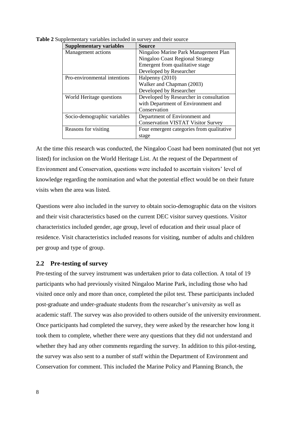| <b>Supplementary variables</b> | <b>Source</b>                             |
|--------------------------------|-------------------------------------------|
| Management actions             | Ningaloo Marine Park Management Plan      |
|                                | Ningaloo Coast Regional Strategy          |
|                                | Emergent from qualitative stage           |
|                                | Developed by Researcher                   |
| Pro-environmental intentions   | Halpenny (2010)                           |
|                                | Walker and Chapman (2003)                 |
|                                | Developed by Researcher                   |
| World Heritage questions       | Developed by Researcher in consultation   |
|                                | with Department of Environment and        |
|                                | Conservation                              |
| Socio-demographic variables    | Department of Environment and             |
|                                | <b>Conservation VISTAT Visitor Survey</b> |
| Reasons for visiting           | Four emergent categories from qualitative |
|                                | stage                                     |

**Table 2** Supplementary variables included in survey and their source

At the time this research was conducted, the Ningaloo Coast had been nominated (but not yet listed) for inclusion on the World Heritage List. At the request of the Department of Environment and Conservation, questions were included to ascertain visitors' level of knowledge regarding the nomination and what the potential effect would be on their future visits when the area was listed.

Questions were also included in the survey to obtain socio-demographic data on the visitors and their visit characteristics based on the current DEC visitor survey questions. Visitor characteristics included gender, age group, level of education and their usual place of residence. Visit characteristics included reasons for visiting, number of adults and children per group and type of group.

#### <span id="page-12-0"></span>**2.2 Pre-testing of survey**

Pre-testing of the survey instrument was undertaken prior to data collection. A total of 19 participants who had previously visited Ningaloo Marine Park, including those who had visited once only and more than once, completed the pilot test. These participants included post-graduate and under-graduate students from the researcher's university as well as academic staff. The survey was also provided to others outside of the university environment. Once participants had completed the survey, they were asked by the researcher how long it took them to complete, whether there were any questions that they did not understand and whether they had any other comments regarding the survey. In addition to this pilot-testing, the survey was also sent to a number of staff within the Department of Environment and Conservation for comment. This included the Marine Policy and Planning Branch, the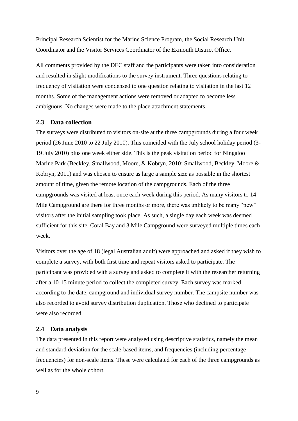Principal Research Scientist for the Marine Science Program, the Social Research Unit Coordinator and the Visitor Services Coordinator of the Exmouth District Office.

All comments provided by the DEC staff and the participants were taken into consideration and resulted in slight modifications to the survey instrument. Three questions relating to frequency of visitation were condensed to one question relating to visitation in the last 12 months. Some of the management actions were removed or adapted to become less ambiguous. No changes were made to the place attachment statements.

#### <span id="page-13-0"></span>**2.3 Data collection**

The surveys were distributed to visitors on-site at the three campgrounds during a four week period (26 June 2010 to 22 July 2010). This coincided with the July school holiday period (3- 19 July 2010) plus one week either side. This is the peak visitation period for Ningaloo Marine Park [\(Beckley, Smallwood, Moore, & Kobryn, 2010;](#page-35-11) [Smallwood, Beckley, Moore &](#page-37-10)  [Kobryn, 2011\)](#page-37-10) and was chosen to ensure as large a sample size as possible in the shortest amount of time, given the remote location of the campgrounds. Each of the three campgrounds was visited at least once each week during this period. As many visitors to 14 Mile Campground are there for three months or more, there was unlikely to be many "new" visitors after the initial sampling took place. As such, a single day each week was deemed sufficient for this site. Coral Bay and 3 Mile Campground were surveyed multiple times each week.

Visitors over the age of 18 (legal Australian adult) were approached and asked if they wish to complete a survey, with both first time and repeat visitors asked to participate. The participant was provided with a survey and asked to complete it with the researcher returning after a 10-15 minute period to collect the completed survey. Each survey was marked according to the date, campground and individual survey number. The campsite number was also recorded to avoid survey distribution duplication. Those who declined to participate were also recorded.

#### <span id="page-13-1"></span>**2.4 Data analysis**

The data presented in this report were analysed using descriptive statistics, namely the mean and standard deviation for the scale-based items, and frequencies (including percentage frequencies) for non-scale items. These were calculated for each of the three campgrounds as well as for the whole cohort.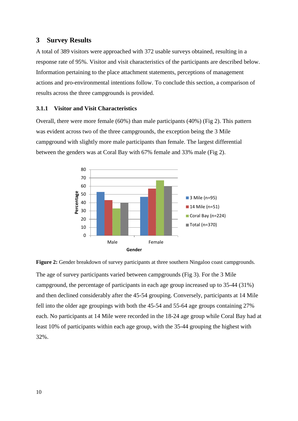## <span id="page-14-0"></span>**3 Survey Results**

A total of 389 visitors were approached with 372 usable surveys obtained, resulting in a response rate of 95%. Visitor and visit characteristics of the participants are described below. Information pertaining to the place attachment statements, perceptions of management actions and pro-environmental intentions follow. To conclude this section, a comparison of results across the three campgrounds is provided.

#### <span id="page-14-1"></span>**3.1.1 Visitor and Visit Characteristics**

Overall, there were more female (60%) than male participants (40%) (Fig 2). This pattern was evident across two of the three campgrounds, the exception being the 3 Mile campground with slightly more male participants than female. The largest differential between the genders was at Coral Bay with 67% female and 33% male (Fig 2).



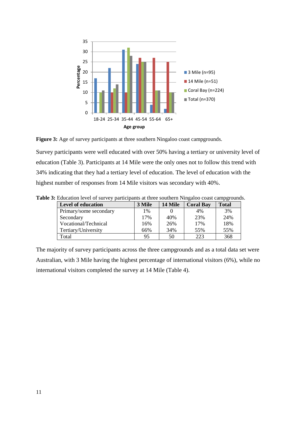



Survey participants were well educated with over 50% having a tertiary or university level of education (Table 3). Participants at 14 Mile were the only ones not to follow this trend with 34% indicating that they had a tertiary level of education. The level of education with the highest number of responses from 14 Mile visitors was secondary with 40%.

| <b>Level of education</b> | 3 Mile | 14 Mile | <b>Coral Bay</b> | r o- -<br><b>Total</b> |
|---------------------------|--------|---------|------------------|------------------------|
| Primary/some secondary    | 1%     |         | 4%               | 3%                     |
| Secondary                 | 17%    | 40%     | 23%              | 24%                    |
| Vocational/Technical      | 16%    | 26%     | 17%              | 18%                    |
| Tertiary/University       | 66%    | 34%     | 55%              | 55%                    |
| Total                     | 95     | 50      | 223              | 368                    |

**Table 3:** Education level of survey participants at three southern Ningaloo coast campgrounds.

The majority of survey participants across the three campgrounds and as a total data set were Australian, with 3 Mile having the highest percentage of international visitors (6%), while no international visitors completed the survey at 14 Mile (Table 4).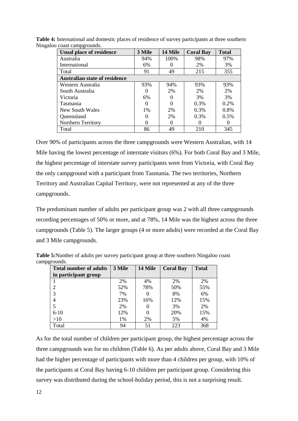| <b>Usual place of residence</b>      | 3 Mile   | 14 Mile | <b>Coral Bay</b> | <b>Total</b> |
|--------------------------------------|----------|---------|------------------|--------------|
| Australia                            | 94%      | 100%    | 98%              | 97%          |
| International                        | 6%       |         | 2%               | 3%           |
| Total                                | 91       | 49      | 215              | 355          |
| <b>Australian state of residence</b> |          |         |                  |              |
| Western Australia                    | 93%      | 94%     | 93%              | 93%          |
| South Australia                      | 0        | 2%      | 2%               | 2%           |
| Victoria                             | 6%       | 0       | 3%               | 3%           |
| <b>Tasmania</b>                      | $\theta$ | 0       | 0.3%             | $0.2\%$      |
| New South Wales                      | 1%       | 2%      | 0.3%             | 0.8%         |
| Queensland                           | 0        | 2%      | 0.3%             | 0.5%         |
| <b>Northern Territory</b>            | 0        | 0       | 0                | $\theta$     |
| Total                                | 86       | 49      | 210              | 345          |

**Table 4:** International and domestic places of residence of survey participants at three southern Ningaloo coast campgrounds.

Over 90% of participants across the three campgrounds were Western Australian, with 14 Mile having the lowest percentage of interstate visitors (6%). For both Coral Bay and 3 Mile, the highest percentage of interstate survey participants were from Victoria, with Coral Bay the only campground with a participant from Tasmania. The two territories, Northern Territory and Australian Capital Territory, were not represented at any of the three campgrounds.

The predominant number of adults per participant group was 2 with all three campgrounds recording percentages of 50% or more, and at 78%, 14 Mile was the highest across the three campgrounds (Table 5). The larger groups (4 or more adults) were recorded at the Coral Bay and 3 Mile campgrounds.

| <b>Total number of adults</b> | 3 Mile | 14 Mile  | <b>Coral Bay</b> | <b>Total</b> |
|-------------------------------|--------|----------|------------------|--------------|
| in participant group          |        |          |                  |              |
|                               | 2%     | 4%       | 2%               | 2%           |
| $\overline{2}$                | 52%    | 78%      | 50%              | 55%          |
| 3                             | 7%     |          | 8%               | 6%           |
| 4                             | 23%    | 16%      | 12%              | 15%          |
| 5                             | 2%     | $\theta$ | 3%               | 2%           |
| $6 - 10$                      | 12%    | 0        | 20%              | 15%          |
| >10                           | 1%     | 2%       | 5%               | 4%           |
| Total                         | 94     | 51       | 223              | 368          |

**Table 5:**Number of adults per survey participant group at three southern Ningaloo coast campgrounds.

As for the total number of children per participant group, the highest percentage across the three campgrounds was for no children (Table 6). As per adults above, Coral Bay and 3 Mile had the higher percentage of participants with more than 4 children per group, with 10% of the participants at Coral Bay having 6-10 children per participant group. Considering this survey was distributed during the school-holiday period, this is not a surprising result.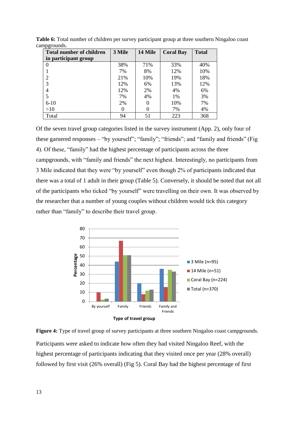| . .<br><b>Total number of children</b> | 3 Mile | 14 Mile | <b>Coral Bay</b> | <b>Total</b> |
|----------------------------------------|--------|---------|------------------|--------------|
| in participant group                   |        |         |                  |              |
| 0                                      | 38%    | 71%     | 33%              | 40%          |
|                                        | 7%     | 8%      | 12%              | 10%          |
| $\overline{2}$                         | 21%    | 10%     | 19%              | 18%          |
| 3                                      | 12%    | 6%      | 13%              | 12%          |
| 4                                      | 12%    | 2%      | 4%               | 6%           |
| 5                                      | 7%     | 4%      | 1%               | 3%           |
| $6-10$                                 | 2%     | 0       | 10%              | 7%           |
| >10                                    |        |         | 7%               | 4%           |
| Total                                  | 94     | 51      | 223              | 368          |

**Table 6:** Total number of children per survey participant group at three southern Ningaloo coast campgrounds.

Of the seven travel group categories listed in the survey instrument (App. 2), only four of these garnered responses – "by yourself"; "family"; "friends"; and "family and friends" (Fig 4). Of these, "family" had the highest percentage of participants across the three campgrounds, with "family and friends" the next highest. Interestingly, no participants from 3 Mile indicated that they were "by yourself" even though 2% of participants indicated that there was a total of 1 adult in their group (Table 5). Conversely, it should be noted that not all of the participants who ticked "by yourself" were travelling on their own. It was observed by the researcher that a number of young couples without children would tick this category rather than "family" to describe their travel group.



**Figure 4:** Type of travel group of survey participants at three southern Ningaloo coast campgrounds. Participants were asked to indicate how often they had visited Ningaloo Reef, with the highest percentage of participants indicating that they visited once per year (28% overall) followed by first visit (26% overall) (Fig 5). Coral Bay had the highest percentage of first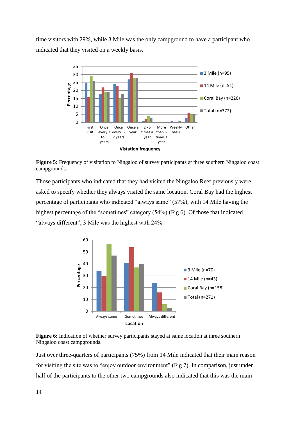time visitors with 29%, while 3 Mile was the only campground to have a participant who indicated that they visited on a weekly basis.



**Figure** 5: Frequency of visitation to Ningaloo of survey participants at three southern Ningaloo coast campgrounds.

Those participants who indicated that they had visited the Ningaloo Reef previously were asked to specify whether they always visited the same location. Coral Bay had the highest percentage of participants who indicated "always same" (57%), with 14 Mile having the highest percentage of the "sometimes" category (54%) (Fig 6). Of those that indicated "always different", 3 Mile was the highest with 24%.



Figure 6: Indication of whether survey participants stayed at same location at three southern Ningaloo coast campgrounds.

Just over three-quarters of participants (75%) from 14 Mile indicated that their main reason for visiting the site was to "enjoy outdoor environment" (Fig 7). In comparison, just under half of the participants to the other two campgrounds also indicated that this was the main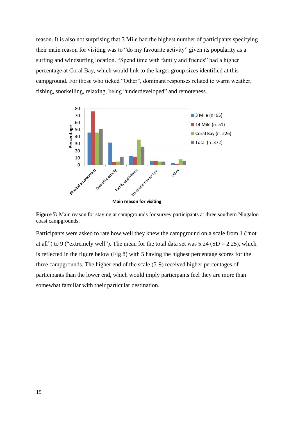reason. It is also not surprising that 3 Mile had the highest number of participants specifying their main reason for visiting was to "do my favourite activity" given its popularity as a surfing and windsurfing location. "Spend time with family and friends" had a higher percentage at Coral Bay, which would link to the larger group sizes identified at this campground. For those who ticked "Other", dominant responses related to warm weather, fishing, snorkelling, relaxing, being "underdeveloped" and remoteness.



**Figure 7:** Main reason for staying at campgrounds for survey participants at three southern Ningaloo coast campgrounds.

Participants were asked to rate how well they knew the campground on a scale from 1 ("not at all") to 9 ("extremely well"). The mean for the total data set was  $5.24$  (SD = 2.25), which is reflected in the figure below (Fig 8) with 5 having the highest percentage scores for the three campgrounds. The higher end of the scale (5-9) received higher percentages of participants than the lower end, which would imply participants feel they are more than somewhat familiar with their particular destination.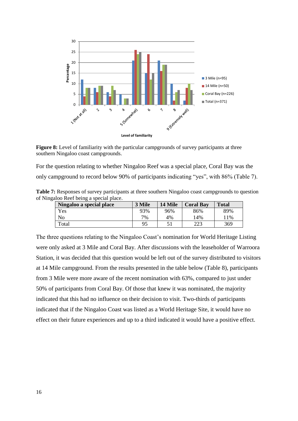

**Figure 8:** Level of familiarity with the particular campgrounds of survey participants at three southern Ningaloo coast campgrounds.

For the question relating to whether Ningaloo Reef was a special place, Coral Bay was the only campground to record below 90% of participants indicating "yes", with 86% (Table 7).

| Table 7: Responses of survey participants at three southern Ningaloo coast campgrounds to question |  |  |
|----------------------------------------------------------------------------------------------------|--|--|
| of Ningaloo Reef being a special place.                                                            |  |  |

| Ningaloo a special place | 3 Mile | 14 Mile | <b>Coral Bay</b> | <b>Total</b> |
|--------------------------|--------|---------|------------------|--------------|
| Yes                      | 93%    | 96%     | 86%              | 89%          |
| No                       | 7%     | 4%      | 14%              | 1%           |
| Total                    | 95     |         | າາາ<br>223       | 369          |

The three questions relating to the Ningaloo Coast's nomination for World Heritage Listing were only asked at 3 Mile and Coral Bay. After discussions with the leaseholder of Warroora Station, it was decided that this question would be left out of the survey distributed to visitors at 14 Mile campground. From the results presented in the table below (Table 8), participants from 3 Mile were more aware of the recent nomination with 63%, compared to just under 50% of participants from Coral Bay. Of those that knew it was nominated, the majority indicated that this had no influence on their decision to visit. Two-thirds of participants indicated that if the Ningaloo Coast was listed as a World Heritage Site, it would have no effect on their future experiences and up to a third indicated it would have a positive effect.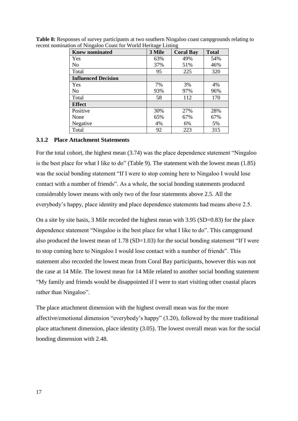| <b>Knew nominated</b>      | 3 Mile | <b>Coral Bay</b> | <b>Total</b> |
|----------------------------|--------|------------------|--------------|
| Yes                        | 63%    | 49%              | 54%          |
| No                         | 37%    | 51%              | 46%          |
| Total                      | 95     | 225              | 320          |
| <b>Influenced Decision</b> |        |                  |              |
| Yes                        | 7%     | 3%               | 4%           |
| No                         | 93%    | 97%              | 96%          |
| Total                      | 58     | 112              | 170          |
| <b>Effect</b>              |        |                  |              |
| Positive                   | 30%    | 27%              | 28%          |
| None                       | 65%    | 67%              | 67%          |
| Negative                   | 4%     | 6%               | 5%           |
| Total                      | 92     | 223              | 315          |

**Table 8:** Responses of survey participants at two southern Ningaloo coast campgrounds relating to recent nomination of Ningaloo Coast for World Heritage Listing

#### <span id="page-21-0"></span>**3.1.2 Place Attachment Statements**

For the total cohort, the highest mean (3.74) was the place dependence statement "Ningaloo is the best place for what I like to do" (Table 9). The statement with the lowest mean (1.85) was the social bonding statement "If I were to stop coming here to Ningaloo I would lose contact with a number of friends". As a whole, the social bonding statements produced considerably lower means with only two of the four statements above 2.5. All the everybody's happy, place identity and place dependence statements had means above 2.5.

On a site by site basis, 3 Mile recorded the highest mean with 3.95 (SD=0.83) for the place dependence statement "Ningaloo is the best place for what I like to do". This campground also produced the lowest mean of 1.78 (SD=1.03) for the social bonding statement "If I were to stop coming here to Ningaloo I would lose contact with a number of friends". This statement also recorded the lowest mean from Coral Bay participants, however this was not the case at 14 Mile. The lowest mean for 14 Mile related to another social bonding statement "My family and friends would be disappointed if I were to start visiting other coastal places rather than Ningaloo".

The place attachment dimension with the highest overall mean was for the more affective/emotional dimension "everybody's happy" (3.20), followed by the more traditional place attachment dimension, place identity (3.05). The lowest overall mean was for the social bonding dimension with 2.48.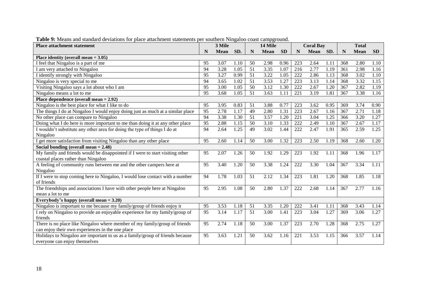| <b>Place attachment statement</b>                                               |                 | 3 Mile      |      |                 | 14 Mile     |           |     | <b>Coral Bay</b> |      |     | <b>Total</b> |           |
|---------------------------------------------------------------------------------|-----------------|-------------|------|-----------------|-------------|-----------|-----|------------------|------|-----|--------------|-----------|
|                                                                                 | N               | <b>Mean</b> | SD.  | $\mathbf N$     | <b>Mean</b> | <b>SD</b> | N   | <b>Mean</b>      | SD.  | N   | <b>Mean</b>  | <b>SD</b> |
| Place identity (overall mean $= 3.05$ )                                         |                 |             |      |                 |             |           |     |                  |      |     |              |           |
| I feel that Ningaloo is a part of me                                            | 95              | 3.07        | 1.10 | 50              | 2.98        | 0.96      | 223 | 2.64             | 1.11 | 368 | 2.80         | 1.10      |
| I am very attached to Ningaloo                                                  | 94              | 3.28        | 1.05 | 51              | 3.35        | 1.07      | 216 | 2.77             | 1.19 | 361 | 2.98         | 1.16      |
| I identify strongly with Ningaloo                                               | 95              | 3.27        | 0.99 | 51              | 3.22        | 1.05      | 222 | 2.86             | 1.13 | 368 | 3.02         | 1.10      |
| Ningaloo is very special to me                                                  | 94              | 3.65        | 1.02 | 51              | 3.53        | 1.27      | 223 | 3.13             | 1.14 | 368 | 3.32         | 1.15      |
| Visiting Ningaloo says a lot about who I am                                     | 95              | 3.00        | 1.05 | 50              | 3.12        | 1.30      | 222 | 2.67             | 1.20 | 367 | 2.82         | 1.19      |
| Ningaloo means a lot to me                                                      | 95              | 3.68        | 1.05 | 51              | 3.63        | 1.11      | 221 | 3.19             | 1.81 | 367 | 3.38         | 1.16      |
| Place dependence (overall mean $= 2.92$ )                                       |                 |             |      |                 |             |           |     |                  |      |     |              |           |
| Ningaloo is the best place for what I like to do                                | 95              | 3.95        | 0.83 | 51              | 3.88        | 0.77      | 223 | 3.62             | 0.95 | 369 | 3.74         | 0.90      |
| The things I do at Ningaloo I would enjoy doing just as much at a similar place | $\overline{95}$ | 2.78        | 1.17 | 49              | 2.80        | 1.31      | 223 | 2.67             | 1.16 | 367 | 2.71         | 1.18      |
| No other place can compare to Ningaloo                                          | 94              | 3.38        | 1.30 | 51              | 3.57        | 1.20      | 221 | 3.04             | 1.25 | 366 | 3.20         | 1.27      |
| Doing what I do here is more important to me than doing it at any other place   | 95              | 2.88        | 1.15 | 50              | 3.10        | 1.33      | 222 | 2.49             | 1.10 | 367 | 2.67         | 1.17      |
| I wouldn't substitute any other area for doing the type of things I do at       | 94              | 2.64        | 1.25 | 49              | 3.02        | 1.44      | 222 | 2.47             | 1.91 | 365 | 2.59         | 1.25      |
| Ningaloo                                                                        |                 |             |      |                 |             |           |     |                  |      |     |              |           |
| get more satisfaction from visiting Ningaloo than any other place               | 95              | 2.60        | 1.14 | 50              | 3.00        | 1.32      | 223 | 2.50             | 1.19 | 368 | 2.60         | 1.20      |
| Social bonding (overall mean $= 2.48$ )                                         |                 |             |      |                 |             |           |     |                  |      |     |              |           |
| My family and friends would be disappointed if I were to start visiting other   | 95              | 2.07        | 1.26 | 50              | 1.92        | 1.29      | 223 | 1.92             | 1.11 | 368 | 1.96         | 1.17      |
| coastal places rather than Ningaloo                                             |                 |             |      |                 |             |           |     |                  |      |     |              |           |
| A feeling of community runs between me and the other campers here at            | 95              | 3.40        | 1.20 | 50              | 3.38        | 1.24      | 222 | 3.30             | 1.04 | 367 | 3.34         | 1.11      |
| Ningaloo                                                                        |                 |             |      |                 |             |           |     |                  |      |     |              |           |
| If I were to stop coming here to Ningaloo, I would lose contact with a number   | 94              | 1.78        | 1.03 | 51              | 2.12        | 1.34      | 223 | 1.81             | 1.20 | 368 | 1.85         | 1.18      |
| of friends                                                                      |                 |             |      |                 |             |           |     |                  |      |     |              |           |
| The friendships and associations I have with other people here at Ningaloo      | 95              | 2.95        | 1.08 | 50              | 2.80        | 1.37      | 222 | 2.68             | 1.14 | 367 | 2.77         | 1.16      |
| mean a lot to me                                                                |                 |             |      |                 |             |           |     |                  |      |     |              |           |
| Everybody's happy (overall mean $= 3.20$ )                                      |                 |             |      |                 |             |           |     |                  |      |     |              |           |
| Ningaloo is important to me because my family/group of friends enjoy it         | 95              | 3.53        | 1.18 | 51              | 3.35        | 1.20      | 222 | 3.41             | 1.11 | 368 | 3.43         | 1.14      |
| I rely on Ningaloo to provide an enjoyable experience for my family/group of    | 95              | 3.14        | 1.17 | $\overline{51}$ | 3.00        | 1.41      | 223 | 3.04             | 1.27 | 369 | 3.06         | 1.27      |
| friends                                                                         |                 |             |      |                 |             |           |     |                  |      |     |              |           |
| There is no place like Ningaloo where member of my family/group of friends      | 95              | 2.74        | 1.18 | 50              | 3.00        | 1.37      | 223 | 2.70             | 1.28 | 368 | 2.75         | 1.27      |
| can enjoy their own experiences in the one place                                |                 |             |      |                 |             |           |     |                  |      |     |              |           |
| Holidays to Ningaloo are important to us as a family/group of friends because   | 95              | 3.63        | 1.21 | 50              | 3.62        | 1.16      | 221 | 3.53             | 1.15 | 366 | 3.57         | 1.14      |
| everyone can enjoy themselves                                                   |                 |             |      |                 |             |           |     |                  |      |     |              |           |

**Table 9:** Means and standard deviations for place attachment statements per southern Ningaloo coast campground.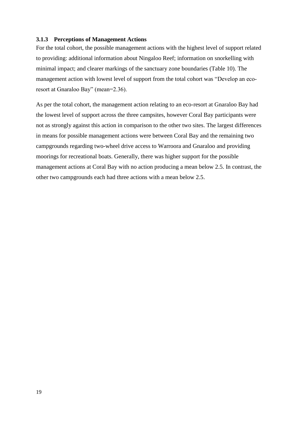#### <span id="page-23-0"></span>**3.1.3 Perceptions of Management Actions**

For the total cohort, the possible management actions with the highest level of support related to providing: additional information about Ningaloo Reef; information on snorkelling with minimal impact; and clearer markings of the sanctuary zone boundaries (Table 10). The management action with lowest level of support from the total cohort was "Develop an ecoresort at Gnaraloo Bay" (mean=2.36).

As per the total cohort, the management action relating to an eco-resort at Gnaraloo Bay had the lowest level of support across the three campsites, however Coral Bay participants were not as strongly against this action in comparison to the other two sites. The largest differences in means for possible management actions were between Coral Bay and the remaining two campgrounds regarding two-wheel drive access to Warroora and Gnaraloo and providing moorings for recreational boats. Generally, there was higher support for the possible management actions at Coral Bay with no action producing a mean below 2.5. In contrast, the other two campgrounds each had three actions with a mean below 2.5.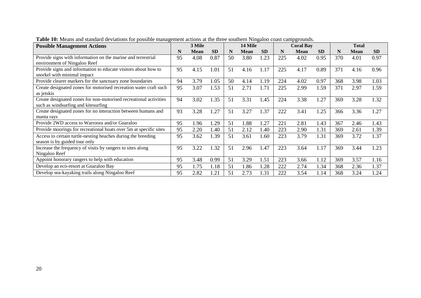| <b>Possible Management Actions</b>                                |    | 3 Mile      |           | 14 Mile |             |           |     | <b>Coral Bay</b> |           | <b>Total</b> |      |           |
|-------------------------------------------------------------------|----|-------------|-----------|---------|-------------|-----------|-----|------------------|-----------|--------------|------|-----------|
|                                                                   | N  | <b>Mean</b> | <b>SD</b> | N       | <b>Mean</b> | <b>SD</b> | N   | <b>Mean</b>      | <b>SD</b> | N            | Mean | <b>SD</b> |
| Provide signs with information on the marine and terrestrial      | 95 | 4.08        | 0.87      | 50      | 3.80        | 1.23      | 225 | 4.02             | 0.95      | 370          | 4.01 | 0.97      |
| environment of Ningaloo Reef                                      |    |             |           |         |             |           |     |                  |           |              |      |           |
| Provide signs and information to educate visitors about how to    | 95 | 4.15        | 1.01      | 51      | 4.16        | 1.17      | 225 | 4.17             | 0.89      | 371          | 4.16 | 0.96      |
| snorkel with minimal impact                                       |    |             |           |         |             |           |     |                  |           |              |      |           |
| Provide clearer markers for the sanctuary zone boundaries         | 94 | 3.79        | 1.05      | 50      | 4.14        | 1.19      | 224 | 4.02             | 0.97      | 368          | 3.98 | 1.03      |
| Create designated zones for motorised recreation water craft such | 95 | 3.07        | 1.53      | 51      | 2.71        | 1.71      | 225 | 2.99             | 1.59      | 371          | 2.97 | 1.59      |
| as jetskis                                                        |    |             |           |         |             |           |     |                  |           |              |      |           |
| Create designated zones for non-motorised recreational activities | 94 | 3.02        | 1.35      | 51      | 3.31        | 1.45      | 224 | 3.38             | 1.27      | 369          | 3.28 | 1.32      |
| such as windsurfing and kitesurfing                               |    |             |           |         |             |           |     |                  |           |              |      |           |
| Create designated zones for no interaction between humans and     | 93 | 3.28        | 1.27      | 51      | 3.27        | 1.37      | 222 | 3.41             | 1.25      | 366          | 3.36 | 1.27      |
| manta rays                                                        |    |             |           |         |             |           |     |                  |           |              |      |           |
| Provide 2WD access to Warroora and/or Gnaraloo                    | 95 | 1.96        | 1.29      | 51      | 1.88        | 1.27      | 221 | 2.81             | 1.43      | 367          | 2.46 | 1.43      |
| Provide moorings for recreational boats over 5m at specific sites | 95 | 2.20        | 1.40      | 51      | 2.12        | 1.40      | 223 | 2.90             | 1.31      | 369          | 2.61 | 1.39      |
| Access to certain turtle-nesting beaches during the breeding      | 95 | 3.62        | 1.39      | 51      | 3.61        | 1.60      | 223 | 3.79             | 1.31      | 369          | 3.72 | 1.37      |
| season is by guided tour only                                     |    |             |           |         |             |           |     |                  |           |              |      |           |
| Increase the frequency of visits by rangers to sites along        | 95 | 3.22        | 1.32      | 51      | 2.96        | 1.47      | 223 | 3.64             | 1.17      | 369          | 3.44 | 1.23      |
| Ningaloo Reef                                                     |    |             |           |         |             |           |     |                  |           |              |      |           |
| Appoint honorary rangers to help with education                   | 95 | 3.48        | 0.99      | 51      | 3.29        | 1.51      | 223 | 3.66             | 1.12      | 369          | 3.57 | 1.16      |
| Develop an eco-resort at Gnaraloo Bay                             | 95 | 1.75        | 1.18      | 51      | 1.86        | 1.28      | 222 | 2.74             | 1.34      | 368          | 2.36 | 1.37      |
| Develop sea-kayaking trails along Ningaloo Reef                   | 95 | 2.82        | 1.21      | 51      | 2.73        | 1.31      | 222 | 3.54             | 1.14      | 368          | 3.24 | 1.24      |

**Table 10:** Means and standard deviations for possible management actions at the three southern Ningaloo coast campgrounds.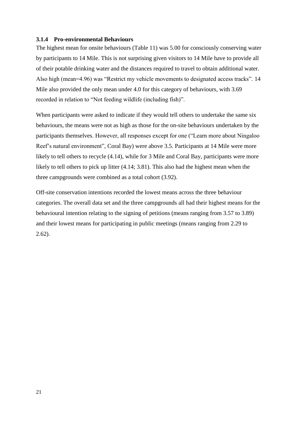#### <span id="page-25-0"></span>**3.1.4 Pro-environmental Behaviours**

The highest mean for onsite behaviours (Table 11) was 5.00 for consciously conserving water by participants to 14 Mile. This is not surprising given visitors to 14 Mile have to provide all of their potable drinking water and the distances required to travel to obtain additional water. Also high (mean=4.96) was "Restrict my vehicle movements to designated access tracks". 14 Mile also provided the only mean under 4.0 for this category of behaviours, with 3.69 recorded in relation to "Not feeding wildlife (including fish)".

When participants were asked to indicate if they would tell others to undertake the same six behaviours, the means were not as high as those for the on-site behaviours undertaken by the participants themselves. However, all responses except for one ("Learn more about Ningaloo Reef's natural environment", Coral Bay) were above 3.5. Participants at 14 Mile were more likely to tell others to recycle (4.14), while for 3 Mile and Coral Bay, participants were more likely to tell others to pick up litter (4.14; 3.81). This also had the highest mean when the three campgrounds were combined as a total cohort (3.92).

Off-site conservation intentions recorded the lowest means across the three behaviour categories. The overall data set and the three campgrounds all had their highest means for the behavioural intention relating to the signing of petitions (means ranging from 3.57 to 3.89) and their lowest means for participating in public meetings (means ranging from 2.29 to 2.62).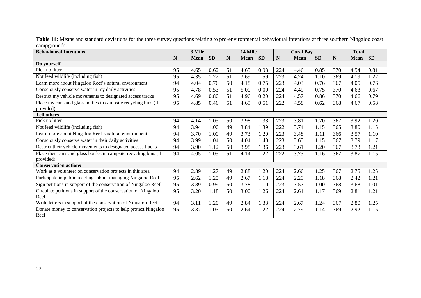| Table 11: Means and standard deviations for the three survey questions relating to pro-environmental behavioural intentions at three southern Ningaloo coast |  |
|--------------------------------------------------------------------------------------------------------------------------------------------------------------|--|
| campgrounds.                                                                                                                                                 |  |

| <b>Behavioural Intentions</b>                                     |    | 3 Mile      |           |    | 14 Mile |      |     | <b>Coral Bay</b> |           |     | <b>Total</b> |           |
|-------------------------------------------------------------------|----|-------------|-----------|----|---------|------|-----|------------------|-----------|-----|--------------|-----------|
|                                                                   | N  | <b>Mean</b> | <b>SD</b> | N  | Mean SD |      | N   | <b>Mean</b>      | <b>SD</b> | N   | <b>Mean</b>  | <b>SD</b> |
| Do yourself                                                       |    |             |           |    |         |      |     |                  |           |     |              |           |
| Pick up litter                                                    | 95 | 4.65        | 0.62      | 51 | 4.65    | 0.93 | 224 | 4.46             | 0.85      | 370 | 4.54         | 0.81      |
| Not feed wildlife (including fish)                                | 95 | 4.35        | 1.22      | 51 | 3.69    | 1.59 | 223 | 4.24             | 1.10      | 369 | 4.19         | 1.22      |
| Learn more about Ningaloo Reef's natural environment              | 94 | 4.04        | 0.76      | 50 | 4.18    | 0.75 | 223 | 4.03             | 0.76      | 367 | 4.05         | 0.76      |
| Consciously conserve water in my daily activities                 | 95 | 4.78        | 0.53      | 51 | 5.00    | 0.00 | 224 | 4.49             | 0.75      | 370 | 4.63         | 0.67      |
| Restrict my vehicle movements to designated access tracks         | 95 | 4.69        | 0.80      | 51 | 4.96    | 0.20 | 224 | 4.57             | 0.86      | 370 | 4.66         | 0.79      |
| Place my cans and glass bottles in campsite recycling bins (if    | 95 | 4.85        | 0.46      | 51 | 4.69    | 0.51 | 222 | 4.58             | 0.62      | 368 | 4.67         | 0.58      |
| provided)                                                         |    |             |           |    |         |      |     |                  |           |     |              |           |
| <b>Tell others</b>                                                |    |             |           |    |         |      |     |                  |           |     |              |           |
| Pick up litter                                                    | 94 | 4.14        | 1.05      | 50 | 3.98    | 1.38 | 223 | 3.81             | 1.20      | 367 | 3.92         | 1.20      |
| Not feed wildlife (including fish)                                | 94 | 3.94        | 1.00      | 49 | 3.84    | 1.39 | 222 | 3.74             | 1.15      | 365 | 3.80         | 1.15      |
| Learn more about Ningaloo Reef's natural environment              | 94 | 3.70        | 1.00      | 49 | 3.73    | 1.20 | 223 | 3.48             | 1.11      | 366 | 3.57         | 1.10      |
| Consciously conserve water in their daily activities              | 94 | 3.99        | 1.04      | 50 | 4.04    | 1.40 | 223 | 3.65             | 1.15      | 367 | 3.79         | 1.17      |
| Restrict their vehicle movements to designated access tracks      | 94 | 3.90        | 1.12      | 50 | 3.98    | 1.36 | 223 | 3.61             | 1.20      | 367 | 3.73         | 1.21      |
| Place their cans and glass bottles in campsite recycling bins (if | 94 | 4.05        | 1.05      | 51 | 4.14    | 1.22 | 222 | 3.73             | 1.16      | 367 | 3.87         | 1.15      |
| provided)                                                         |    |             |           |    |         |      |     |                  |           |     |              |           |
| <b>Conservation actions</b>                                       |    |             |           |    |         |      |     |                  |           |     |              |           |
| Work as a volunteer on conservation projects in this area         | 94 | 2.89        | 1.27      | 49 | 2.88    | 1.20 | 224 | 2.66             | 1.25      | 367 | 2.75         | 1.25      |
| Participate in public meetings about managing Ningaloo Reef       | 95 | 2.62        | 1.25      | 49 | 2.67    | 1.18 | 224 | 2.29             | 1.18      | 368 | 2.42         | 1.21      |
| Sign petitions in support of the conservation of Ningaloo Reef    | 95 | 3.89        | 0.99      | 50 | 3.78    | 1.10 | 223 | 3.57             | 1.00      | 368 | 3.68         | 1.01      |
| Circulate petitions in support of the conservation of Ningaloo    | 95 | 3.20        | 1.18      | 50 | 3.00    | 1.26 | 224 | 2.61             | 1.17      | 369 | 2.81         | 1.21      |
| Reef                                                              |    |             |           |    |         |      |     |                  |           |     |              |           |
| Write letters in support of the conservation of Ningaloo Reef     | 94 | 3.11        | 1.20      | 49 | 2.84    | 1.33 | 224 | 2.67             | 1.24      | 367 | 2.80         | 1.25      |
| Donate money to conservation projects to help protect Ningaloo    | 95 | 3.37        | 1.03      | 50 | 2.64    | 1.22 | 224 | 2.79             | 1.14      | 369 | 2.92         | 1.15      |
| Reef                                                              |    |             |           |    |         |      |     |                  |           |     |              |           |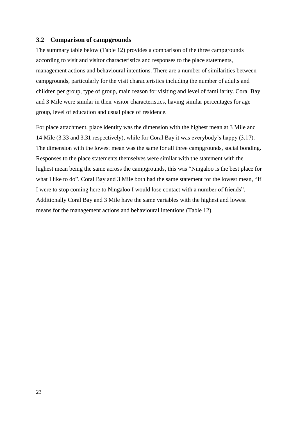#### <span id="page-27-0"></span>**3.2 Comparison of campgrounds**

The summary table below (Table 12) provides a comparison of the three campgrounds according to visit and visitor characteristics and responses to the place statements, management actions and behavioural intentions. There are a number of similarities between campgrounds, particularly for the visit characteristics including the number of adults and children per group, type of group, main reason for visiting and level of familiarity. Coral Bay and 3 Mile were similar in their visitor characteristics, having similar percentages for age group, level of education and usual place of residence.

For place attachment, place identity was the dimension with the highest mean at 3 Mile and 14 Mile (3.33 and 3.31 respectively), while for Coral Bay it was everybody's happy (3.17). The dimension with the lowest mean was the same for all three campgrounds, social bonding. Responses to the place statements themselves were similar with the statement with the highest mean being the same across the campgrounds, this was "Ningaloo is the best place for what I like to do". Coral Bay and 3 Mile both had the same statement for the lowest mean, "If I were to stop coming here to Ningaloo I would lose contact with a number of friends". Additionally Coral Bay and 3 Mile have the same variables with the highest and lowest means for the management actions and behavioural intentions (Table 12).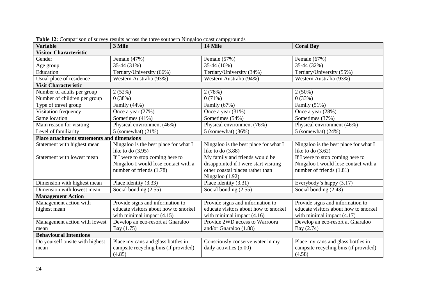| <b>Visitor Characteristic</b><br>Female (47%)<br>Female (57%)<br>Female (67%)<br>Gender<br>35-44 (31%)<br>35-44 (10%)<br>35-44 (32%)<br>Age group<br>Tertiary/University (34%)<br>Education<br>Tertiary/University (66%)<br>Tertiary/University (55%)<br>Usual place of residence<br>Western Australia (93%)<br>Western Australia (94%)<br>Western Australia (93%)<br><b>Visit Characteristic</b><br>2(52%)<br>Number of adults per group<br>2(78%)<br>$2(50\%)$<br>0(38%)<br>Number of children per group<br>0(71%)<br>0(33%)<br>Type of travel group<br>Family (44%)<br>Family (67%)<br>Family (51%)<br>Visitation frequency<br>Once a year (27%)<br>Once a year (31%)<br>Once a year (28%)<br>Sometimes (54%)<br>Same location<br>Sometimes (41%)<br>Sometimes (37%)<br>Main reason for visiting<br>Physical environment (46%)<br>Physical environment (76%)<br>Physical environment (46%)<br>Level of familiarity<br>5 (somewhat) $(21\%)$<br>5 (somewhat) (36%)<br>5 (somewhat) $(24%)$<br><b>Place attachment statements and dimensions</b><br>Ningaloo is the best place for what I<br>Statement with highest mean<br>Ningaloo is the best place for what I<br>Ningaloo is the best place for what I<br>like to do $(3.95)$<br>like to do $(3.88)$<br>like to do $(3.62)$<br>If I were to stop coming here to<br>My family and friends would be<br>Statement with lowest mean<br>If I were to stop coming here to<br>Ningaloo I would lose contact with a<br>disappointed if I were start visiting<br>Ningaloo I would lose contact with a<br>number of friends (1.78)<br>other coastal places rather than<br>number of friends (1.81)<br>Ningaloo (1.92)<br>Place identity (3.31)<br>Dimension with highest mean<br>Place identity (3.33)<br>Everybody's happy (3.17)<br>Social bonding (2.55)<br>Social bonding (2.55)<br>Social bonding (2.43)<br>Dimension with lowest mean<br><b>Management Action</b><br>Management action with<br>Provide signs and information to<br>Provide signs and information to<br>Provide signs and information to<br>educate visitors about how to snorkel<br>educate visitors about how to snorkel<br>educate visitors about how to snorkel<br>highest mean<br>with minimal impact $(4.15)$<br>with minimal impact $(4.17)$<br>with minimal impact $(4.16)$<br>Provide 2WD access to Warroora<br>Develop an eco-resort at Gnaraloo<br>Develop an eco-resort at Gnaraloo<br>Management action with lowest<br>Bay (1.75)<br>and/or Gnaraloo $(1.88)$<br>Bay (2.74)<br>mean<br><b>Behavioural Intentions</b><br>Do yourself onsite with highest<br>Place my cans and glass bottles in<br>Consciously conserve water in my<br>Place my cans and glass bottles in | <b>Variable</b> | 3 Mile                                | 14 Mile                 | <b>Coral Bay</b>                      |
|------------------------------------------------------------------------------------------------------------------------------------------------------------------------------------------------------------------------------------------------------------------------------------------------------------------------------------------------------------------------------------------------------------------------------------------------------------------------------------------------------------------------------------------------------------------------------------------------------------------------------------------------------------------------------------------------------------------------------------------------------------------------------------------------------------------------------------------------------------------------------------------------------------------------------------------------------------------------------------------------------------------------------------------------------------------------------------------------------------------------------------------------------------------------------------------------------------------------------------------------------------------------------------------------------------------------------------------------------------------------------------------------------------------------------------------------------------------------------------------------------------------------------------------------------------------------------------------------------------------------------------------------------------------------------------------------------------------------------------------------------------------------------------------------------------------------------------------------------------------------------------------------------------------------------------------------------------------------------------------------------------------------------------------------------------------------------------------------------------------------------------------------------------------------------------------------------------------------------------------------------------------------------------------------------------------------------------------------------------------------------------------------------------------------------------------------------------------------------------------------------------------------------------------------------------------------------------------------------------------------------------------------------------------------------------------------------|-----------------|---------------------------------------|-------------------------|---------------------------------------|
|                                                                                                                                                                                                                                                                                                                                                                                                                                                                                                                                                                                                                                                                                                                                                                                                                                                                                                                                                                                                                                                                                                                                                                                                                                                                                                                                                                                                                                                                                                                                                                                                                                                                                                                                                                                                                                                                                                                                                                                                                                                                                                                                                                                                                                                                                                                                                                                                                                                                                                                                                                                                                                                                                                      |                 |                                       |                         |                                       |
|                                                                                                                                                                                                                                                                                                                                                                                                                                                                                                                                                                                                                                                                                                                                                                                                                                                                                                                                                                                                                                                                                                                                                                                                                                                                                                                                                                                                                                                                                                                                                                                                                                                                                                                                                                                                                                                                                                                                                                                                                                                                                                                                                                                                                                                                                                                                                                                                                                                                                                                                                                                                                                                                                                      |                 |                                       |                         |                                       |
|                                                                                                                                                                                                                                                                                                                                                                                                                                                                                                                                                                                                                                                                                                                                                                                                                                                                                                                                                                                                                                                                                                                                                                                                                                                                                                                                                                                                                                                                                                                                                                                                                                                                                                                                                                                                                                                                                                                                                                                                                                                                                                                                                                                                                                                                                                                                                                                                                                                                                                                                                                                                                                                                                                      |                 |                                       |                         |                                       |
|                                                                                                                                                                                                                                                                                                                                                                                                                                                                                                                                                                                                                                                                                                                                                                                                                                                                                                                                                                                                                                                                                                                                                                                                                                                                                                                                                                                                                                                                                                                                                                                                                                                                                                                                                                                                                                                                                                                                                                                                                                                                                                                                                                                                                                                                                                                                                                                                                                                                                                                                                                                                                                                                                                      |                 |                                       |                         |                                       |
|                                                                                                                                                                                                                                                                                                                                                                                                                                                                                                                                                                                                                                                                                                                                                                                                                                                                                                                                                                                                                                                                                                                                                                                                                                                                                                                                                                                                                                                                                                                                                                                                                                                                                                                                                                                                                                                                                                                                                                                                                                                                                                                                                                                                                                                                                                                                                                                                                                                                                                                                                                                                                                                                                                      |                 |                                       |                         |                                       |
|                                                                                                                                                                                                                                                                                                                                                                                                                                                                                                                                                                                                                                                                                                                                                                                                                                                                                                                                                                                                                                                                                                                                                                                                                                                                                                                                                                                                                                                                                                                                                                                                                                                                                                                                                                                                                                                                                                                                                                                                                                                                                                                                                                                                                                                                                                                                                                                                                                                                                                                                                                                                                                                                                                      |                 |                                       |                         |                                       |
|                                                                                                                                                                                                                                                                                                                                                                                                                                                                                                                                                                                                                                                                                                                                                                                                                                                                                                                                                                                                                                                                                                                                                                                                                                                                                                                                                                                                                                                                                                                                                                                                                                                                                                                                                                                                                                                                                                                                                                                                                                                                                                                                                                                                                                                                                                                                                                                                                                                                                                                                                                                                                                                                                                      |                 |                                       |                         |                                       |
|                                                                                                                                                                                                                                                                                                                                                                                                                                                                                                                                                                                                                                                                                                                                                                                                                                                                                                                                                                                                                                                                                                                                                                                                                                                                                                                                                                                                                                                                                                                                                                                                                                                                                                                                                                                                                                                                                                                                                                                                                                                                                                                                                                                                                                                                                                                                                                                                                                                                                                                                                                                                                                                                                                      |                 |                                       |                         |                                       |
|                                                                                                                                                                                                                                                                                                                                                                                                                                                                                                                                                                                                                                                                                                                                                                                                                                                                                                                                                                                                                                                                                                                                                                                                                                                                                                                                                                                                                                                                                                                                                                                                                                                                                                                                                                                                                                                                                                                                                                                                                                                                                                                                                                                                                                                                                                                                                                                                                                                                                                                                                                                                                                                                                                      |                 |                                       |                         |                                       |
|                                                                                                                                                                                                                                                                                                                                                                                                                                                                                                                                                                                                                                                                                                                                                                                                                                                                                                                                                                                                                                                                                                                                                                                                                                                                                                                                                                                                                                                                                                                                                                                                                                                                                                                                                                                                                                                                                                                                                                                                                                                                                                                                                                                                                                                                                                                                                                                                                                                                                                                                                                                                                                                                                                      |                 |                                       |                         |                                       |
|                                                                                                                                                                                                                                                                                                                                                                                                                                                                                                                                                                                                                                                                                                                                                                                                                                                                                                                                                                                                                                                                                                                                                                                                                                                                                                                                                                                                                                                                                                                                                                                                                                                                                                                                                                                                                                                                                                                                                                                                                                                                                                                                                                                                                                                                                                                                                                                                                                                                                                                                                                                                                                                                                                      |                 |                                       |                         |                                       |
|                                                                                                                                                                                                                                                                                                                                                                                                                                                                                                                                                                                                                                                                                                                                                                                                                                                                                                                                                                                                                                                                                                                                                                                                                                                                                                                                                                                                                                                                                                                                                                                                                                                                                                                                                                                                                                                                                                                                                                                                                                                                                                                                                                                                                                                                                                                                                                                                                                                                                                                                                                                                                                                                                                      |                 |                                       |                         |                                       |
|                                                                                                                                                                                                                                                                                                                                                                                                                                                                                                                                                                                                                                                                                                                                                                                                                                                                                                                                                                                                                                                                                                                                                                                                                                                                                                                                                                                                                                                                                                                                                                                                                                                                                                                                                                                                                                                                                                                                                                                                                                                                                                                                                                                                                                                                                                                                                                                                                                                                                                                                                                                                                                                                                                      |                 |                                       |                         |                                       |
|                                                                                                                                                                                                                                                                                                                                                                                                                                                                                                                                                                                                                                                                                                                                                                                                                                                                                                                                                                                                                                                                                                                                                                                                                                                                                                                                                                                                                                                                                                                                                                                                                                                                                                                                                                                                                                                                                                                                                                                                                                                                                                                                                                                                                                                                                                                                                                                                                                                                                                                                                                                                                                                                                                      |                 |                                       |                         |                                       |
|                                                                                                                                                                                                                                                                                                                                                                                                                                                                                                                                                                                                                                                                                                                                                                                                                                                                                                                                                                                                                                                                                                                                                                                                                                                                                                                                                                                                                                                                                                                                                                                                                                                                                                                                                                                                                                                                                                                                                                                                                                                                                                                                                                                                                                                                                                                                                                                                                                                                                                                                                                                                                                                                                                      |                 |                                       |                         |                                       |
|                                                                                                                                                                                                                                                                                                                                                                                                                                                                                                                                                                                                                                                                                                                                                                                                                                                                                                                                                                                                                                                                                                                                                                                                                                                                                                                                                                                                                                                                                                                                                                                                                                                                                                                                                                                                                                                                                                                                                                                                                                                                                                                                                                                                                                                                                                                                                                                                                                                                                                                                                                                                                                                                                                      |                 |                                       |                         |                                       |
|                                                                                                                                                                                                                                                                                                                                                                                                                                                                                                                                                                                                                                                                                                                                                                                                                                                                                                                                                                                                                                                                                                                                                                                                                                                                                                                                                                                                                                                                                                                                                                                                                                                                                                                                                                                                                                                                                                                                                                                                                                                                                                                                                                                                                                                                                                                                                                                                                                                                                                                                                                                                                                                                                                      |                 |                                       |                         |                                       |
|                                                                                                                                                                                                                                                                                                                                                                                                                                                                                                                                                                                                                                                                                                                                                                                                                                                                                                                                                                                                                                                                                                                                                                                                                                                                                                                                                                                                                                                                                                                                                                                                                                                                                                                                                                                                                                                                                                                                                                                                                                                                                                                                                                                                                                                                                                                                                                                                                                                                                                                                                                                                                                                                                                      |                 |                                       |                         |                                       |
|                                                                                                                                                                                                                                                                                                                                                                                                                                                                                                                                                                                                                                                                                                                                                                                                                                                                                                                                                                                                                                                                                                                                                                                                                                                                                                                                                                                                                                                                                                                                                                                                                                                                                                                                                                                                                                                                                                                                                                                                                                                                                                                                                                                                                                                                                                                                                                                                                                                                                                                                                                                                                                                                                                      |                 |                                       |                         |                                       |
|                                                                                                                                                                                                                                                                                                                                                                                                                                                                                                                                                                                                                                                                                                                                                                                                                                                                                                                                                                                                                                                                                                                                                                                                                                                                                                                                                                                                                                                                                                                                                                                                                                                                                                                                                                                                                                                                                                                                                                                                                                                                                                                                                                                                                                                                                                                                                                                                                                                                                                                                                                                                                                                                                                      |                 |                                       |                         |                                       |
|                                                                                                                                                                                                                                                                                                                                                                                                                                                                                                                                                                                                                                                                                                                                                                                                                                                                                                                                                                                                                                                                                                                                                                                                                                                                                                                                                                                                                                                                                                                                                                                                                                                                                                                                                                                                                                                                                                                                                                                                                                                                                                                                                                                                                                                                                                                                                                                                                                                                                                                                                                                                                                                                                                      |                 |                                       |                         |                                       |
|                                                                                                                                                                                                                                                                                                                                                                                                                                                                                                                                                                                                                                                                                                                                                                                                                                                                                                                                                                                                                                                                                                                                                                                                                                                                                                                                                                                                                                                                                                                                                                                                                                                                                                                                                                                                                                                                                                                                                                                                                                                                                                                                                                                                                                                                                                                                                                                                                                                                                                                                                                                                                                                                                                      |                 |                                       |                         |                                       |
|                                                                                                                                                                                                                                                                                                                                                                                                                                                                                                                                                                                                                                                                                                                                                                                                                                                                                                                                                                                                                                                                                                                                                                                                                                                                                                                                                                                                                                                                                                                                                                                                                                                                                                                                                                                                                                                                                                                                                                                                                                                                                                                                                                                                                                                                                                                                                                                                                                                                                                                                                                                                                                                                                                      |                 |                                       |                         |                                       |
|                                                                                                                                                                                                                                                                                                                                                                                                                                                                                                                                                                                                                                                                                                                                                                                                                                                                                                                                                                                                                                                                                                                                                                                                                                                                                                                                                                                                                                                                                                                                                                                                                                                                                                                                                                                                                                                                                                                                                                                                                                                                                                                                                                                                                                                                                                                                                                                                                                                                                                                                                                                                                                                                                                      |                 |                                       |                         |                                       |
|                                                                                                                                                                                                                                                                                                                                                                                                                                                                                                                                                                                                                                                                                                                                                                                                                                                                                                                                                                                                                                                                                                                                                                                                                                                                                                                                                                                                                                                                                                                                                                                                                                                                                                                                                                                                                                                                                                                                                                                                                                                                                                                                                                                                                                                                                                                                                                                                                                                                                                                                                                                                                                                                                                      |                 |                                       |                         |                                       |
|                                                                                                                                                                                                                                                                                                                                                                                                                                                                                                                                                                                                                                                                                                                                                                                                                                                                                                                                                                                                                                                                                                                                                                                                                                                                                                                                                                                                                                                                                                                                                                                                                                                                                                                                                                                                                                                                                                                                                                                                                                                                                                                                                                                                                                                                                                                                                                                                                                                                                                                                                                                                                                                                                                      |                 |                                       |                         |                                       |
|                                                                                                                                                                                                                                                                                                                                                                                                                                                                                                                                                                                                                                                                                                                                                                                                                                                                                                                                                                                                                                                                                                                                                                                                                                                                                                                                                                                                                                                                                                                                                                                                                                                                                                                                                                                                                                                                                                                                                                                                                                                                                                                                                                                                                                                                                                                                                                                                                                                                                                                                                                                                                                                                                                      |                 |                                       |                         |                                       |
|                                                                                                                                                                                                                                                                                                                                                                                                                                                                                                                                                                                                                                                                                                                                                                                                                                                                                                                                                                                                                                                                                                                                                                                                                                                                                                                                                                                                                                                                                                                                                                                                                                                                                                                                                                                                                                                                                                                                                                                                                                                                                                                                                                                                                                                                                                                                                                                                                                                                                                                                                                                                                                                                                                      |                 |                                       |                         |                                       |
|                                                                                                                                                                                                                                                                                                                                                                                                                                                                                                                                                                                                                                                                                                                                                                                                                                                                                                                                                                                                                                                                                                                                                                                                                                                                                                                                                                                                                                                                                                                                                                                                                                                                                                                                                                                                                                                                                                                                                                                                                                                                                                                                                                                                                                                                                                                                                                                                                                                                                                                                                                                                                                                                                                      |                 |                                       |                         |                                       |
|                                                                                                                                                                                                                                                                                                                                                                                                                                                                                                                                                                                                                                                                                                                                                                                                                                                                                                                                                                                                                                                                                                                                                                                                                                                                                                                                                                                                                                                                                                                                                                                                                                                                                                                                                                                                                                                                                                                                                                                                                                                                                                                                                                                                                                                                                                                                                                                                                                                                                                                                                                                                                                                                                                      |                 |                                       |                         |                                       |
| (4.85)<br>(4.58)                                                                                                                                                                                                                                                                                                                                                                                                                                                                                                                                                                                                                                                                                                                                                                                                                                                                                                                                                                                                                                                                                                                                                                                                                                                                                                                                                                                                                                                                                                                                                                                                                                                                                                                                                                                                                                                                                                                                                                                                                                                                                                                                                                                                                                                                                                                                                                                                                                                                                                                                                                                                                                                                                     | mean            | campsite recycling bins (if provided) | daily activities (5.00) | campsite recycling bins (if provided) |

**Table 12:** Comparison of survey results across the three southern Ningaloo coast campgrounds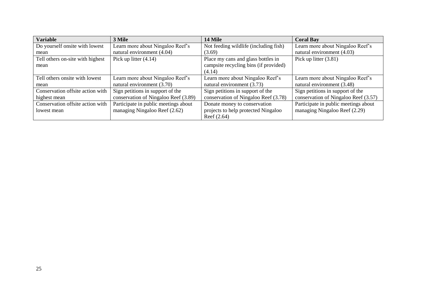| <b>Variable</b>                  | 3 Mile                               | <b>14 Mile</b>                        | <b>Coral Bay</b>                     |
|----------------------------------|--------------------------------------|---------------------------------------|--------------------------------------|
| Do yourself onsite with lowest   | Learn more about Ningaloo Reef's     | Not feeding wildlife (including fish) | Learn more about Ningaloo Reef's     |
| mean                             | natural environment (4.04)           | (3.69)                                | natural environment (4.03)           |
| Tell others on-site with highest | Pick up litter $(4.14)$              | Place my cans and glass bottles in    | Pick up litter $(3.81)$              |
| mean                             |                                      | campsite recycling bins (if provided) |                                      |
|                                  |                                      | (4.14)                                |                                      |
| Tell others onsite with lowest   | Learn more about Ningaloo Reef's     | Learn more about Ningaloo Reef's      | Learn more about Ningaloo Reef's     |
| mean                             | natural environment (3.70)           | natural environment (3.73)            | natural environment (3.48)           |
| Conservation offsite action with | Sign petitions in support of the     | Sign petitions in support of the      | Sign petitions in support of the     |
| highest mean                     | conservation of Ningaloo Reef (3.89) | conservation of Ningaloo Reef (3.78)  | conservation of Ningaloo Reef (3.57) |
| Conservation offsite action with | Participate in public meetings about | Donate money to conservation          | Participate in public meetings about |
| lowest mean                      | managing Ningaloo Reef (2.62)        | projects to help protected Ningaloo   | managing Ningaloo Reef (2.29)        |
|                                  |                                      | Reef $(2.64)$                         |                                      |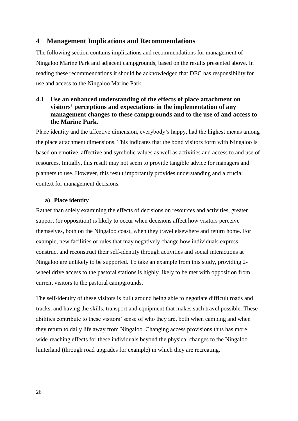## <span id="page-30-0"></span>**4 Management Implications and Recommendations**

The following section contains implications and recommendations for management of Ningaloo Marine Park and adjacent campgrounds, based on the results presented above. In reading these recommendations it should be acknowledged that DEC has responsibility for use and access to the Ningaloo Marine Park.

## **4.1 Use an enhanced understanding of the effects of place attachment on visitors' perceptions and expectations in the implementation of any management changes to these campgrounds and to the use of and access to the Marine Park.**

Place identity and the affective dimension, everybody's happy, had the highest means among the place attachment dimensions. This indicates that the bond visitors form with Ningaloo is based on emotive, affective and symbolic values as well as activities and access to and use of resources. Initially, this result may not seem to provide tangible advice for managers and planners to use. However, this result importantly provides understanding and a crucial context for management decisions.

#### **a) Place identity**

Rather than solely examining the effects of decisions on resources and activities, greater support (or opposition) is likely to occur when decisions affect how visitors perceive themselves, both on the Ningaloo coast, when they travel elsewhere and return home. For example, new facilities or rules that may negatively change how individuals express, construct and reconstruct their self-identity through activities and social interactions at Ningaloo are unlikely to be supported. To take an example from this study, providing 2 wheel drive access to the pastoral stations is highly likely to be met with opposition from current visitors to the pastoral campgrounds.

The self-identity of these visitors is built around being able to negotiate difficult roads and tracks, and having the skills, transport and equipment that makes such travel possible. These abilities contribute to these visitors' sense of who they are, both when camping and when they return to daily life away from Ningaloo. Changing access provisions thus has more wide-reaching effects for these individuals beyond the physical changes to the Ningaloo hinterland (through road upgrades for example) in which they are recreating.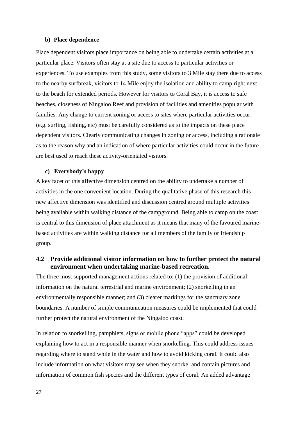#### **b) Place dependence**

Place dependent visitors place importance on being able to undertake certain activities at a particular place. Visitors often stay at a site due to access to particular activities or experiences. To use examples from this study, some visitors to 3 Mile stay there due to access to the nearby surfbreak, visitors to 14 Mile enjoy the isolation and ability to camp right next to the beach for extended periods. However for visitors to Coral Bay, it is access to safe beaches, closeness of Ningaloo Reef and provision of facilities and amenities popular with families. Any change to current zoning or access to sites where particular activities occur (e.g. surfing, fishing, etc) must be carefully considered as to the impacts on these place dependent visitors. Clearly communicating changes in zoning or access, including a rationale as to the reason why and an indication of where particular activities could occur in the future are best used to reach these activity-orientated visitors.

#### **c) Everybody's happy**

A key facet of this affective dimension centred on the ability to undertake a number of activities in the one convenient location. During the qualitative phase of this research this new affective dimension was identified and discussion centred around multiple activities being available within walking distance of the campground. Being able to camp on the coast is central to this dimension of place attachment as it means that many of the favoured marinebased activities are within walking distance for all members of the family or friendship group.

## **4.2 Provide additional visitor information on how to further protect the natural environment when undertaking marine-based recreation.**

The three most supported management actions related to: (1) the provision of additional information on the natural terrestrial and marine environment; (2) snorkelling in an environmentally responsible manner; and (3) clearer markings for the sanctuary zone boundaries. A number of simple communication measures could be implemented that could further protect the natural environment of the Ningaloo coast.

In relation to snorkelling, pamphlets, signs or mobile phone "apps" could be developed explaining how to act in a responsible manner when snorkelling. This could address issues regarding where to stand while in the water and how to avoid kicking coral. It could also include information on what visitors may see when they snorkel and contain pictures and information of common fish species and the different types of coral. An added advantage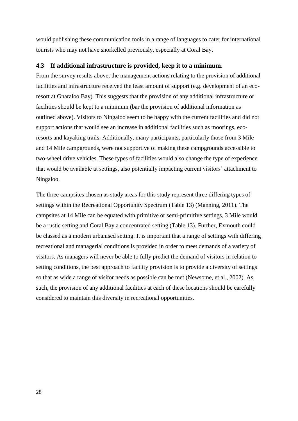would publishing these communication tools in a range of languages to cater for international tourists who may not have snorkelled previously, especially at Coral Bay.

#### **4.3 If additional infrastructure is provided, keep it to a minimum.**

From the survey results above, the management actions relating to the provision of additional facilities and infrastructure received the least amount of support (e.g. development of an ecoresort at Gnaraloo Bay). This suggests that the provision of any additional infrastructure or facilities should be kept to a minimum (bar the provision of additional information as outlined above). Visitors to Ningaloo seem to be happy with the current facilities and did not support actions that would see an increase in additional facilities such as moorings, ecoresorts and kayaking trails. Additionally, many participants, particularly those from 3 Mile and 14 Mile campgrounds, were not supportive of making these campgrounds accessible to two-wheel drive vehicles. These types of facilities would also change the type of experience that would be available at settings, also potentially impacting current visitors' attachment to Ningaloo.

The three campsites chosen as study areas for this study represent three differing types of settings within the Recreational Opportunity Spectrum (Table 13) [\(Manning, 2011\)](#page-36-11). The campsites at 14 Mile can be equated with primitive or semi-primitive settings, 3 Mile would be a rustic setting and Coral Bay a concentrated setting (Table 13). Further, Exmouth could be classed as a modern urbanised setting. It is important that a range of settings with differing recreational and managerial conditions is provided in order to meet demands of a variety of visitors. As managers will never be able to fully predict the demand of visitors in relation to setting conditions, the best approach to facility provision is to provide a diversity of settings so that as wide a range of visitor needs as possible can be met [\(Newsome, et al., 2002\)](#page-36-10). As such, the provision of any additional facilities at each of these locations should be carefully considered to maintain this diversity in recreational opportunities.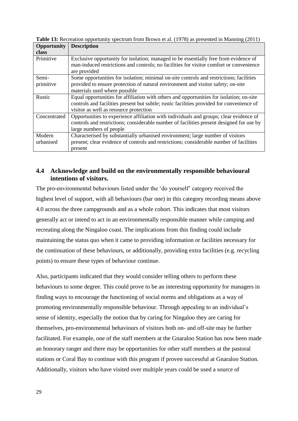| Opportunity  | <b>Description</b>                                                                                                                                                                              |
|--------------|-------------------------------------------------------------------------------------------------------------------------------------------------------------------------------------------------|
| class        |                                                                                                                                                                                                 |
| Primitive    | Exclusive opportunity for isolation; managed to be essentially free from evidence of<br>man-induced restrictions and controls; no facilities for visitor comfort or convenience<br>are provided |
| Semi-        | Some opportunities for isolation; minimal on-site controls and restrictions; facilities                                                                                                         |
| primitive    | provided to ensure protection of natural environment and visitor safety; on-site<br>materials used where possible                                                                               |
| Rustic       | Equal opportunities for affiliation with others and opportunities for isolation; on-site                                                                                                        |
|              | controls and facilities present but subtle; rustic facilities provided for convenience of                                                                                                       |
|              | visitor as well as resource protection                                                                                                                                                          |
| Concentrated | Opportunities to experience affiliation with individuals and groups; clear evidence of                                                                                                          |
|              | controls and restrictions; considerable number of facilities present designed for use by                                                                                                        |
|              | large numbers of people                                                                                                                                                                         |
| Modern       | Characterised by substantially urbanised environment; large number of visitors                                                                                                                  |
| urbanised    | present; clear evidence of controls and restrictions; considerable number of facilities                                                                                                         |
|              | present                                                                                                                                                                                         |

**Table 13:** Recreation opportunity spectrum from Brown et al. (1978) as presented in Manning (2011)

## **4.4 Acknowledge and build on the environmentally responsible behavioural intentions of visitors.**

The pro-environmental behaviours listed under the 'do yourself' category received the highest level of support, with all behaviours (bar one) in this category recording means above 4.0 across the three campgrounds and as a whole cohort. This indicates that most visitors generally act or intend to act in an environmentally responsible manner while camping and recreating along the Ningaloo coast. The implications from this finding could include maintaining the status quo when it came to providing information or facilities necessary for the continuation of these behaviours, or additionally, providing extra facilities (e.g. recycling points) to ensure these types of behaviour continue.

Also, participants indicated that they would consider telling others to perform these behaviours to some degree. This could prove to be an interesting opportunity for managers in finding ways to encourage the functioning of social norms and obligations as a way of promoting environmentally responsible behaviour. Through appealing to an individual's sense of identity, especially the notion that by caring for Ningaloo they are caring for themselves, pro-environmental behaviours of visitors both on- and off-site may be further facilitated. For example, one of the staff members at the Gnaraloo Station has now been made an honorary ranger and there may be opportunities for other staff members at the pastoral stations or Coral Bay to continue with this program if proven successful at Gnaraloo Station. Additionally, visitors who have visited over multiple years could be used a source of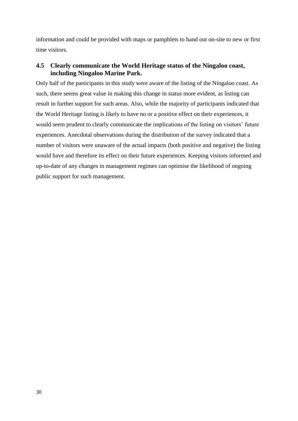information and could be provided with maps or pamphlets to hand out on-site to new or first time visitors.

## **4.5 Clearly communicate the World Heritage status of the Ningaloo coast, including Ningaloo Marine Park.**

Only half of the participants in this study were aware of the listing of the Ningaloo coast. As such, there seems great value in making this change in status more evident, as listing can result in further support for such areas. Also, while the majority of participants indicated that the World Heritage listing is likely to have no or a positive effect on their experiences, it would seem prudent to clearly communicate the implications of the listing on visitors' future experiences. Anecdotal observations during the distribution of the survey indicated that a number of visitors were unaware of the actual impacts (both positive and negative) the listing would have and therefore its effect on their future experiences. Keeping visitors informed and up-to-date of any changes in management regimes can optimise the likelihood of ongoing public support for such management.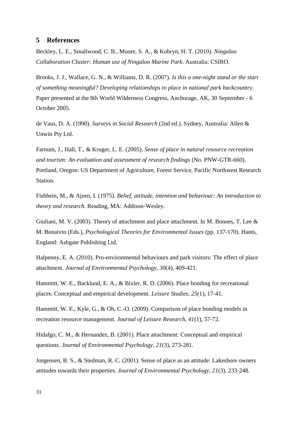## <span id="page-35-0"></span>**5 References**

<span id="page-35-11"></span>Beckley, L. E., Smallwood, C. B., Moore, S. A., & Kobryn, H. T. (2010). *Ningaloo Collaboration Cluster: Human use of Ningaloo Marine Park*. Australia: CSIRO.

<span id="page-35-2"></span>Brooks, J. J., Wallace, G. N., & Williams, D. R. (2007). *Is this a one-night stand or the start of something meaningful? Developing relationships to place in national park backcountry.* Paper presented at the 8th World Wilderness Congress, Anchorage, AK, 30 September - 6 October 2005.

<span id="page-35-8"></span>de Vaus, D. A. (1990). *Surveys in Social Research* (2nd ed.). Sydney, Australia: Allen & Unwin Pty Ltd.

<span id="page-35-1"></span>Farnum, J., Hall, T., & Kruger, L. E. (2005). *Sense of place in natural resource recreation and tourism: An evaluation and assessment of research findings* (No. PNW-GTR-660). Portland, Oregon: US Department of Agriculture, Forest Service, Pacific Northwest Research Station.

<span id="page-35-10"></span>Fishbein, M., & Ajzen, I. (1975). *Belief, attitude, intention and behaviour: An introduction to theory and research*. Reading, MA: Addison-Wesley.

<span id="page-35-6"></span>Giuliani, M. V. (2003). Theory of attachment and place attachment. In M. Bonnes, T. Lee & M. Bonaivto (Eds.), *Psychological Theories for Environmental Issues* (pp. 137-170). Hants, England: Ashgate Publishing Ltd.

<span id="page-35-7"></span>Halpenny, E. A. (2010). Pro-environmental behaviours and park visitors: The effect of place attachment. *Journal of Environmental Psychology, 30*(4), 409-421.

<span id="page-35-4"></span>Hammitt, W. E., Backlund, E. A., & Bixler, R. D. (2006). Place bonding for recreational places: Conceptual and empirical development. *Leisure Studies, 25*(1), 17-41.

<span id="page-35-3"></span>Hammitt, W. E., Kyle, G., & Oh, C.-O. (2009). Comparison of place bonding models in recreation resource management. *Journal of Leisure Research, 41*(1), 57-72.

<span id="page-35-5"></span>Hidalgo, C. M., & Hernandez, B. (2001). Place attachment: Conceptual and empirical questions. *Journal of Environmental Psychology, 21*(3), 273-281.

<span id="page-35-9"></span>Jorgensen, B. S., & Stedman, R. C. (2001). Sense of place as an attitude: Lakeshore owners attitudes towards their properties. *Journal of Environmental Psychology, 21*(3), 233-248.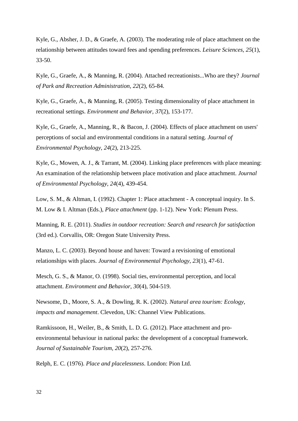<span id="page-36-0"></span>Kyle, G., Absher, J. D., & Graefe, A. (2003). The moderating role of place attachment on the relationship between attitudes toward fees and spending preferences. *Leisure Sciences, 25*(1), 33-50.

<span id="page-36-7"></span>Kyle, G., Graefe, A., & Manning, R. (2004). Attached recreationists...Who are they? *Journal of Park and Recreation Administration, 22*(2), 65-84.

<span id="page-36-2"></span>Kyle, G., Graefe, A., & Manning, R. (2005). Testing dimensionality of place attachment in recreational settings. *Environment and Behavior, 37*(2), 153-177.

<span id="page-36-1"></span>Kyle, G., Graefe, A., Manning, R., & Bacon, J. (2004). Effects of place attachment on users' perceptions of social and environmental conditions in a natural setting. *Journal of Environmental Psychology, 24*(2), 213-225.

<span id="page-36-4"></span>Kyle, G., Mowen, A. J., & Tarrant, M. (2004). Linking place preferences with place meaning: An examination of the relationship between place motivation and place attachment. *Journal of Environmental Psychology, 24*(4), 439-454.

<span id="page-36-6"></span>Low, S. M., & Altman, I. (1992). Chapter 1: Place attachment - A conceptual inquiry. In S. M. Low & I. Altman (Eds.), *Place attachment* (pp. 1-12). New York: Plenum Press.

<span id="page-36-11"></span>Manning, R. E. (2011). *Studies in outdoor recreation: Search and research for satisfaction* (3rd ed.). Corvallis, OR: Oregon State University Press.

<span id="page-36-8"></span>Manzo, L. C. (2003). Beyond house and haven: Toward a revisioning of emotional relationships with places. *Journal of Environmental Psychology, 23*(1), 47-61.

<span id="page-36-5"></span>Mesch, G. S., & Manor, O. (1998). Social ties, environmental perception, and local attachment. *Environment and Behavior, 30*(4), 504-519.

<span id="page-36-10"></span>Newsome, D., Moore, S. A., & Dowling, R. K. (2002). *Natural area tourism: Ecology, impacts and management*. Clevedon, UK: Channel View Publications.

<span id="page-36-9"></span>Ramkissoon, H., Weiler, B., & Smith, L. D. G. (2012). Place attachment and proenvironmental behaviour in national parks: the development of a conceptual framework. *Journal of Sustainable Tourism, 20*(2), 257-276.

<span id="page-36-3"></span>Relph, E. C. (1976). *Place and placelessness*. London: Pion Ltd.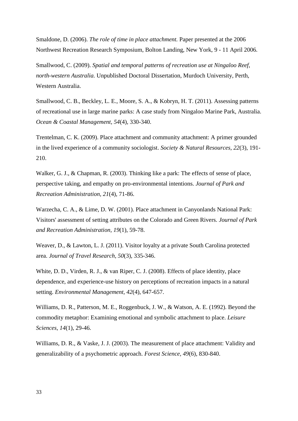<span id="page-37-5"></span>Smaldone, D. (2006). *The role of time in place attachment.* Paper presented at the 2006 Northwest Recreation Research Symposium, Bolton Landing, New York, 9 - 11 April 2006.

<span id="page-37-7"></span>Smallwood, C. (2009). *Spatial and temporal patterns of recreation use at Ningaloo Reef, north-western Australia.* Unpublished Doctoral Dissertation, Murdoch University, Perth, Western Australia.

<span id="page-37-10"></span>Smallwood, C. B., Beckley, L. E., Moore, S. A., & Kobryn, H. T. (2011). Assessing patterns of recreational use in large marine parks: A case study from Ningaloo Marine Park, Australia. *Ocean & Coastal Management, 54*(4), 330-340.

<span id="page-37-1"></span>Trentelman, C. K. (2009). Place attachment and community attachment: A primer grounded in the lived experience of a community sociologist. *Society & Natural Resources, 22*(3), 191- 210.

<span id="page-37-8"></span>Walker, G. J., & Chapman, R. (2003). Thinking like a park: The effects of sense of place, perspective taking, and empathy on pro-environmental intentions. *Journal of Park and Recreation Administration, 21*(4), 71-86.

<span id="page-37-4"></span>Warzecha, C. A., & Lime, D. W. (2001). Place attachment in Canyonlands National Park: Visitors' assessment of setting attributes on the Colorado and Green Rivers. *Journal of Park and Recreation Administration, 19*(1), 59-78.

<span id="page-37-9"></span>Weaver, D., & Lawton, L. J. (2011). Visitor loyalty at a private South Carolina protected area. *Journal of Travel Research, 50*(3), 335-346.

<span id="page-37-6"></span>White, D. D., Virden, R. J., & van Riper, C. J. (2008). Effects of place identity, place dependence, and experience-use history on perceptions of recreation impacts in a natural setting. *Environmental Management, 42*(4), 647-657.

<span id="page-37-2"></span>Williams, D. R., Patterson, M. E., Roggenbuck, J. W., & Watson, A. E. (1992). Beyond the commodity metaphor: Examining emotional and symbolic attachment to place. *Leisure Sciences, 14*(1), 29-46.

<span id="page-37-3"></span><span id="page-37-0"></span>Williams, D. R., & Vaske, J. J. (2003). The measurement of place attachment: Validity and generalizability of a psychometric approach. *Forest Science, 49*(6), 830-840.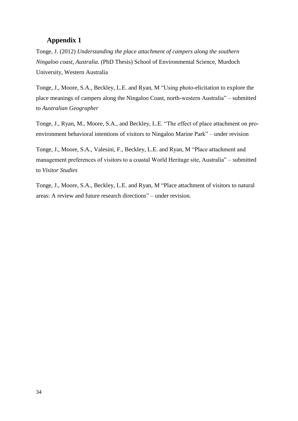## **Appendix 1**

Tonge, J. (2012) *Understanding the place attachment of campers along the southern Ningaloo coast, Australia*. (PhD Thesis) School of Environmental Science, Murdoch University, Western Australia

Tonge, J., Moore, S.A., Beckley, L.E. and Ryan, M "Using photo-elicitation to explore the place meanings of campers along the Ningaloo Coast, north-western Australia" – submitted to *Australian Geographer*

Tonge, J., Ryan, M., Moore, S.A., and Beckley, L.E. "The effect of place attachment on proenvironment behavioral intentions of visitors to Ningaloo Marine Park" – under revision

Tonge, J., Moore, S.A., Valesini, F., Beckley, L.E. and Ryan, M "Place attachment and management preferences of visitors to a coastal World Heritage site, Australia" – submitted to *Visitor Studies*

Tonge, J., Moore, S.A., Beckley, L.E. and Ryan, M "Place attachment of visitors to natural areas: A review and future research directions" – under revision.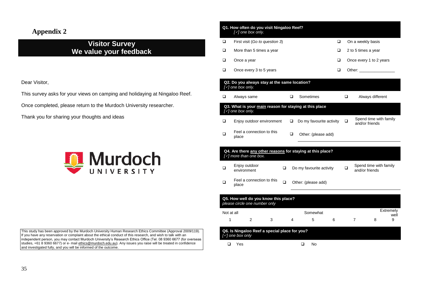## **Appendix 2**

## **Visitor Survey We value your feedback**

Dear Visitor,

This survey asks for your views on camping and holidaying at Ningaloo Reef.

Once completed, please return to the Murdoch University researcher.

<span id="page-39-0"></span>Thank you for sharing your thoughts and ideas



This study has been approved by the Murdoch University Human Research Ethics Committee (Approval 2009/119). If you have any reservation or complaint about the ethical conduct of this research, and wish to talk with an independent person, you may contact Murdoch University's Research Ethics Office (Tel. 08 9360 6677 (for overseas studies, +61 8 9360 6677) or e- mail ethics@murdoch.edu.au). Any issues you raise will be treated in confidence and investigated fully, and you will be informed of the outcome.

|            | Q1. How often do you visit Ningaloo Reef?<br>$[\sqrt{]}$ one box only.                          |   |   |                          |                          |   |        |                     |                                                                                                                                                                                                                                |                   |
|------------|-------------------------------------------------------------------------------------------------|---|---|--------------------------|--------------------------|---|--------|---------------------|--------------------------------------------------------------------------------------------------------------------------------------------------------------------------------------------------------------------------------|-------------------|
| ❏          | First visit (Go to question 3)                                                                  |   |   |                          |                          | □ |        | On a weekly basis   |                                                                                                                                                                                                                                |                   |
| ❏          | More than 5 times a year                                                                        |   |   |                          |                          | ❏ |        | 2 to 5 times a year |                                                                                                                                                                                                                                |                   |
| ❏          | Once a year                                                                                     |   |   |                          |                          | ❏ |        |                     | Once every 1 to 2 years                                                                                                                                                                                                        |                   |
| □          | Once every 3 to 5 years                                                                         |   |   |                          |                          | ❏ |        |                     | Other: and the contract of the contract of the contract of the contract of the contract of the contract of the contract of the contract of the contract of the contract of the contract of the contract of the contract of the |                   |
|            | Q2. Do you always stay at the same location?<br>$[\checkmark]$ one box only.                    |   |   |                          |                          |   |        |                     |                                                                                                                                                                                                                                |                   |
| □          | Always same                                                                                     |   | □ | Sometimes                |                          |   | □      |                     | Always different                                                                                                                                                                                                               |                   |
|            | Q3. What is your main reason for staying at this place<br>[v] one box only.                     |   |   |                          |                          |   |        |                     |                                                                                                                                                                                                                                |                   |
| ❏          | Enjoy outdoor environment                                                                       |   | □ |                          | Do my favourite activity |   | $\Box$ | and/or friends      | Spend time with family                                                                                                                                                                                                         |                   |
| □          | Feel a connection to this<br>place                                                              |   | □ |                          | Other: (please add)      |   |        |                     |                                                                                                                                                                                                                                |                   |
|            | Q4. Are there any other reasons for staying at this place?<br>$[\checkmark]$ more than one box. |   |   |                          |                          |   |        |                     |                                                                                                                                                                                                                                |                   |
| ❏          | Enjoy outdoor<br>environment                                                                    | □ |   | Do my favourite activity |                          |   | □      | and/or friends      | Spend time with family                                                                                                                                                                                                         |                   |
| ❏          | Feel a connection to this<br>place                                                              | □ |   | Other: (please add)      |                          |   |        |                     |                                                                                                                                                                                                                                |                   |
|            | Q5. How well do you know this place?<br>please circle one number only                           |   |   |                          |                          |   |        |                     |                                                                                                                                                                                                                                |                   |
| Not at all |                                                                                                 |   |   |                          | Somewhat                 |   |        |                     |                                                                                                                                                                                                                                | Extremely<br>well |
| 1          | $\mathcal{P}$<br>3                                                                              |   | 4 | 5                        |                          | 6 |        | $\overline{7}$      | 8                                                                                                                                                                                                                              | 9                 |
|            | Q6. Is Ningaloo Reef a special place for you?<br>$[\sqrt{]}$ one box only                       |   |   |                          |                          |   |        |                     |                                                                                                                                                                                                                                |                   |
| $\Box$     | Yes                                                                                             |   |   | □                        | No                       |   |        |                     |                                                                                                                                                                                                                                |                   |
|            |                                                                                                 |   |   |                          |                          |   |        |                     |                                                                                                                                                                                                                                |                   |
|            |                                                                                                 |   |   |                          |                          |   |        |                     |                                                                                                                                                                                                                                |                   |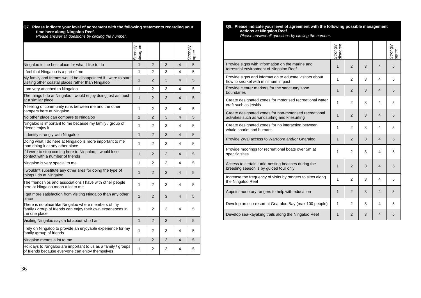| Q7. Please indicate your level of agreement with the following statements regarding your |
|------------------------------------------------------------------------------------------|
| time here along Ningaloo Reef.                                                           |

*Please answer all questions by circling the number.*

|                                                                                                                                      | disagree<br>Strongly |                |   |                         | Strongly<br>lagree |
|--------------------------------------------------------------------------------------------------------------------------------------|----------------------|----------------|---|-------------------------|--------------------|
| Ningaloo is the best place for what I like to do                                                                                     | 1                    | $\overline{2}$ | 3 | $\overline{4}$          | 5                  |
| I feel that Ningaloo is a part of me                                                                                                 | 1                    | $\overline{2}$ | 3 | 4                       | 5                  |
| My family and friends would be disappointed if I were to start<br>visiting other coastal places rather than Ningaloo                 | 1                    | $\overline{2}$ | 3 | 4                       | 5                  |
| I am very attached to Ningaloo                                                                                                       | 1                    | 2              | 3 | 4                       | 5                  |
| The things I do at Ningaloo I would enjoy doing just as much<br>at a similar place                                                   | $\mathbf{1}$         | $\overline{2}$ | 3 | 4                       | 5                  |
| A feeling of community runs between me and the other<br>campers here at Ningaloo                                                     | 1                    | $\overline{2}$ | 3 | 4                       | 5                  |
| No other place can compare to Ningaloo                                                                                               | 1                    | $\overline{2}$ | 3 | $\overline{4}$          | 5                  |
| Ningaloo is important to me because my family / group of<br>friends enjoy it                                                         | 1                    | 2              | 3 | 4                       | 5                  |
| I identify strongly with Ningaloo                                                                                                    | $\mathbf{1}$         | $\overline{2}$ | 3 | 4                       | 5                  |
| Doing what I do here at Ningaloo is more important to me<br>than doing it at any other place                                         | 1                    | 2              | 3 | 4                       | 5                  |
| If I were to stop coming here to Ningaloo, I would lose<br>contact with a number of friends                                          | 1                    | $\overline{2}$ | 3 | $\overline{4}$          | 5                  |
| Ningaloo is very special to me                                                                                                       | 1                    | $\overline{2}$ | 3 | 4                       | 5                  |
| I wouldn't substitute any other area for doing the type of<br>things I do at Ningaloo                                                | 1                    | $\overline{2}$ | 3 | $\overline{4}$          | 5                  |
| The friendships and associations I have with other people<br>here at Ningaloo mean a lot to me                                       | 1                    | $\overline{2}$ | 3 | 4                       | 5                  |
| get more satisfaction from visiting Ningaloo than any other<br>place                                                                 | $\mathbf{1}$         | $\overline{2}$ | 3 | $\overline{4}$          | 5                  |
| There is no place like Ningaloo where members of my<br>family / group of friends can enjoy their own experiences in<br>the one place | 1                    | $\overline{2}$ | 3 | 4                       | 5                  |
| Visiting Ningaloo says a lot about who I am                                                                                          | $\mathbf{1}$         | $\overline{2}$ | 3 | $\overline{\mathbf{4}}$ | 5                  |
| I rely on Ningaloo to provide an enjoyable experience for my<br>family /group of friends                                             | 1                    | 2              | 3 | 4                       | 5                  |
| Ningaloo means a lot to me                                                                                                           | $\mathbf{1}$         | $\overline{2}$ | 3 | 4                       | 5                  |
| Holidays to Ningaloo are important to us as a family / groups<br>of friends because everyone can enjoy themselves                    | 1                    | $\overline{2}$ | 3 | 4                       | 5                  |

#### **Q8. Please indicate your level of agreement with the following possible management actions at Ningaloo Reef.**

*Please answer all questions by circling the number.*

|                                                                                                          | Strongly<br>disagree |                |   |                | Strongly<br>agree |
|----------------------------------------------------------------------------------------------------------|----------------------|----------------|---|----------------|-------------------|
| Provide signs with information on the marine and<br>terrestrial environment of Ningaloo Reef             | 1                    | 2              | 3 | $\overline{4}$ | 5                 |
| Provide signs and information to educate visitors about<br>how to snorkel with minimum impact            | 1                    | 2              | 3 | 4              | 5                 |
| Provide clearer markers for the sanctuary zone<br>boundaries                                             | $\mathbf{1}$         | 2              | 3 | $\overline{4}$ | 5                 |
| Create designated zones for motorised recreational water<br>craft such as jetskis                        | 1                    | $\mathfrak{p}$ | 3 | 4              | 5                 |
| Create designated zones for non-motorised recreational<br>activities such as windsurfing and kitesurfing | $\mathbf{1}$         | 2              | 3 | 4              | 5                 |
| Create designated zones for no interaction between<br>whale sharks and humans                            | 1                    | 2              | 3 | 4              | 5                 |
| Provide 2WD access to Warroora and/or Gnaraloo                                                           | $\mathbf{1}$         | 2              | 3 | 4              | 5                 |
| Provide moorings for recreational boats over 5m at<br>specific sites                                     | 1                    | 2              | 3 | 4              | 5                 |
| Access to certain turtle-nesting beaches during the<br>breeding season is by guided tour only            | 1                    | 2              | 3 | $\overline{4}$ | 5                 |
| Increase the frequency of visits by rangers to sites along<br>the Ningaloo Reef                          | $\mathbf{1}$         | $\overline{2}$ | 3 | 4              | 5                 |
| Appoint honorary rangers to help with education                                                          | 1                    | 2              | 3 | 4              | 5                 |
| Develop an eco-resort at Gnaraloo Bay (max 100 people)                                                   | 1                    | 2              | 3 | 4              | 5                 |
| Develop sea-kayaking trails along the Ningaloo Reef                                                      | $\mathbf{1}$         | 2              | 3 | 4              | 5                 |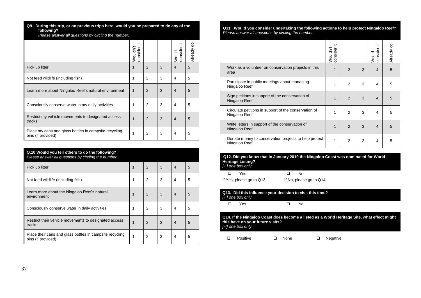**Q9. During this trip, or on previous trips here, would you be prepared to do any of the following?** 

*Please answer all questions by circling the number.*

|                                                                             | ≔<br>consider<br>Wouldn't |               |   | ≔<br>consider<br>Would | Already do |
|-----------------------------------------------------------------------------|---------------------------|---------------|---|------------------------|------------|
| Pick up litter                                                              | 1                         | $\mathcal{P}$ | 3 | $\overline{4}$         | 5          |
| Not feed wildlife (including fish)                                          | 1                         | 2             | 3 | $\overline{4}$         | 5          |
| Learn more about Ningaloo Reef's natural environment                        | 1                         | $\mathcal{P}$ | 3 | $\overline{4}$         | 5          |
| Consciously conserve water in my daily activities                           |                           | 2             | 3 | 4                      | 5          |
| Restrict my vehicle movements to designated access<br>tracks                | 1                         | 2             | 3 | $\overline{4}$         | 5          |
| Place my cans and glass bottles in campsite recycling<br>bins (if provided) |                           | 2             | 3 | 4                      | 5          |

| Q.10 Would you tell others to do the following?<br>Please answer all questions by circling the number. |   |                |   |                |   |
|--------------------------------------------------------------------------------------------------------|---|----------------|---|----------------|---|
| Pick up litter                                                                                         |   | $\overline{2}$ | 3 | $\overline{4}$ | 5 |
| Not feed wildlife (including fish)                                                                     | 1 | 2              | 3 | 4              | 5 |
| Learn more about the Ningaloo Reef's natural<br>environment                                            | 1 | $\overline{2}$ | 3 | $\overline{4}$ | 5 |
| Consciously conserve water in daily activities                                                         | 1 | $\overline{2}$ | 3 | 4              | 5 |
| Restrict their vehicle movements to designated access<br>tracks                                        | 1 | $\overline{2}$ | 3 | $\overline{4}$ | 5 |
| Place their cans and glass bottles in campsite recycling<br>bins (if provided)                         | 1 | $\overline{2}$ | 3 | 4              | 5 |

**Q11. Would you consider undertaking the following actions to help protect Ningaloo Reef?**  *Please answer all questions by circling the number.*

|                                                                        | ≔<br>consider<br>Wouldn't |                |   | ≔<br>consider<br>Would | Already do |
|------------------------------------------------------------------------|---------------------------|----------------|---|------------------------|------------|
| Work as a volunteer on conservation projects in this<br>area           | 1                         | $\mathcal{P}$  | 3 | $\overline{4}$         | 5          |
| Participate in public meetings about managing<br>Ningaloo Reef         | 1                         | 2              | 3 | 4                      | 5          |
| Sign petitions in support of the conservation of<br>Ningaloo Reef      | 1                         | $\overline{2}$ | 3 | $\overline{4}$         | 5          |
| Circulate petitions in support of the conservation of<br>Ningaloo Reef | 1                         | 2              | 3 | 4                      | 5          |
| Write letters in support of the conservation of<br>Ningaloo Reef       | 1                         | 2              | 3 | $\overline{4}$         | 5          |
| Donate money to conservation projects to help protect<br>Ningaloo Reef | 1                         | 2              | 3 | 4                      | 5          |

| Q12. Did you know that in January 2010 the Ningaloo Coast was nominated for World |  |
|-----------------------------------------------------------------------------------|--|
| <b>Heritage Listing?</b>                                                          |  |
| [√] one box only                                                                  |  |

 $\Box$  Yes  $\Box$  No

If Yes, please go to Q13 If No, please go to Q14

| Q13. Did this influence your decision to visit this time?<br>[√] one box only |     |  |                |     |  |  |  |  |  |
|-------------------------------------------------------------------------------|-----|--|----------------|-----|--|--|--|--|--|
| n.                                                                            | Yes |  | $\blacksquare$ | No. |  |  |  |  |  |

**Q14. If the Ningaloo Coast does become a listed as a World Heritage Site, what effect might this have on your future visits?** *[] one box only*

**Q** Positive **Q** None **Q** Negative